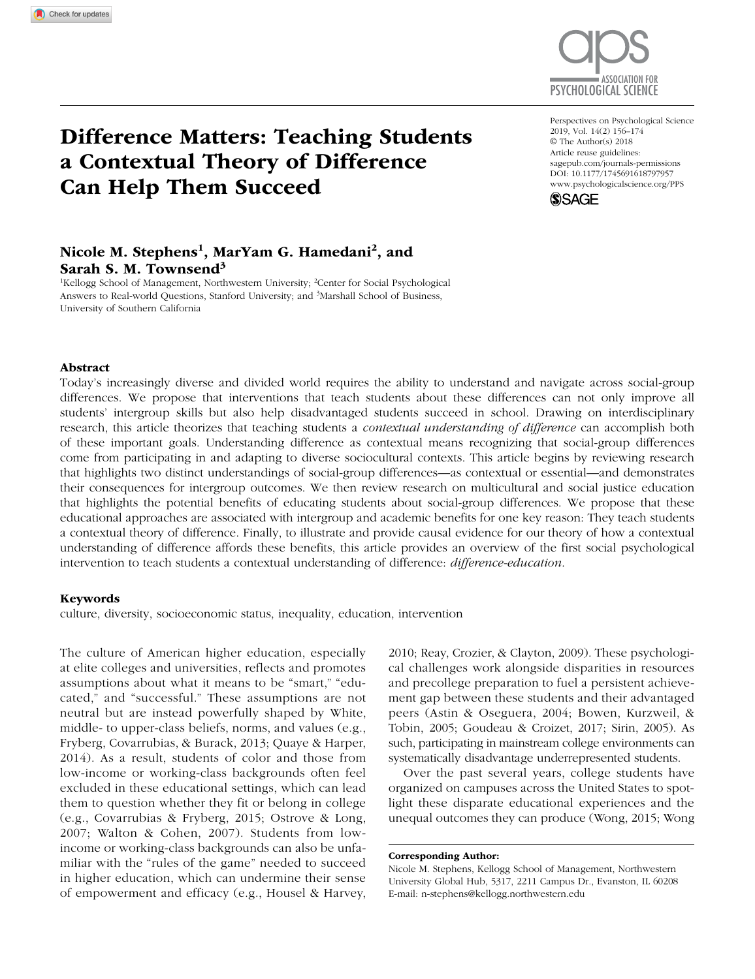

# Difference Matters: Teaching Students a Contextual Theory of Difference Can Help Them Succeed

# Nicole M. Stephens<sup>1</sup>, MarYam G. Hamedani<sup>2</sup>, and Sarah S. M. Townsend<sup>3</sup>

<sup>1</sup>Kellogg School of Management, Northwestern University; <sup>2</sup>Center for Social Psychological Answers to Real-world Questions, Stanford University; and <sup>3</sup>Marshall School of Business, University of Southern California

https://doi.org/10.1177/1745691618797957 DOI: 10.1177/1745691618797957 Perspectives on Psychological Science 2019, Vol. 14(2) 156–174 © The Author(s) 2018 Article reuse guidelines: [sagepub.com/journals-permissions](https://sagepub.com/journals-permissions) [www.psychologicalscience.org/PPS](http://www.psychologicalscience.org/pps)



#### Abstract

Today's increasingly diverse and divided world requires the ability to understand and navigate across social-group differences. We propose that interventions that teach students about these differences can not only improve all students' intergroup skills but also help disadvantaged students succeed in school. Drawing on interdisciplinary research, this article theorizes that teaching students a *contextual understanding of difference* can accomplish both of these important goals. Understanding difference as contextual means recognizing that social-group differences come from participating in and adapting to diverse sociocultural contexts. This article begins by reviewing research that highlights two distinct understandings of social-group differences—as contextual or essential—and demonstrates their consequences for intergroup outcomes. We then review research on multicultural and social justice education that highlights the potential benefits of educating students about social-group differences. We propose that these educational approaches are associated with intergroup and academic benefits for one key reason: They teach students a contextual theory of difference. Finally, to illustrate and provide causal evidence for our theory of how a contextual understanding of difference affords these benefits, this article provides an overview of the first social psychological intervention to teach students a contextual understanding of difference: *difference-education*.

#### Keywords

culture, diversity, socioeconomic status, inequality, education, intervention

The culture of American higher education, especially at elite colleges and universities, reflects and promotes assumptions about what it means to be "smart," "educated," and "successful." These assumptions are not neutral but are instead powerfully shaped by White, middle- to upper-class beliefs, norms, and values (e.g., Fryberg, Covarrubias, & Burack, 2013; Quaye & Harper, 2014). As a result, students of color and those from low-income or working-class backgrounds often feel excluded in these educational settings, which can lead them to question whether they fit or belong in college (e.g., Covarrubias & Fryberg, 2015; Ostrove & Long, 2007; Walton & Cohen, 2007). Students from lowincome or working-class backgrounds can also be unfamiliar with the "rules of the game" needed to succeed in higher education, which can undermine their sense of empowerment and efficacy (e.g., Housel & Harvey,

2010; Reay, Crozier, & Clayton, 2009). These psychological challenges work alongside disparities in resources and precollege preparation to fuel a persistent achievement gap between these students and their advantaged peers (Astin & Oseguera, 2004; Bowen, Kurzweil, & Tobin, 2005; Goudeau & Croizet, 2017; Sirin, 2005). As such, participating in mainstream college environments can systematically disadvantage underrepresented students.

Over the past several years, college students have organized on campuses across the United States to spotlight these disparate educational experiences and the unequal outcomes they can produce (Wong, 2015; Wong

Corresponding Author:

Nicole M. Stephens, Kellogg School of Management, Northwestern University Global Hub, 5317, 2211 Campus Dr., Evanston, IL 60208 E-mail: [n-stephens@kellogg.northwestern.edu](mailto:n-stephens@kellogg.northwestern.edu)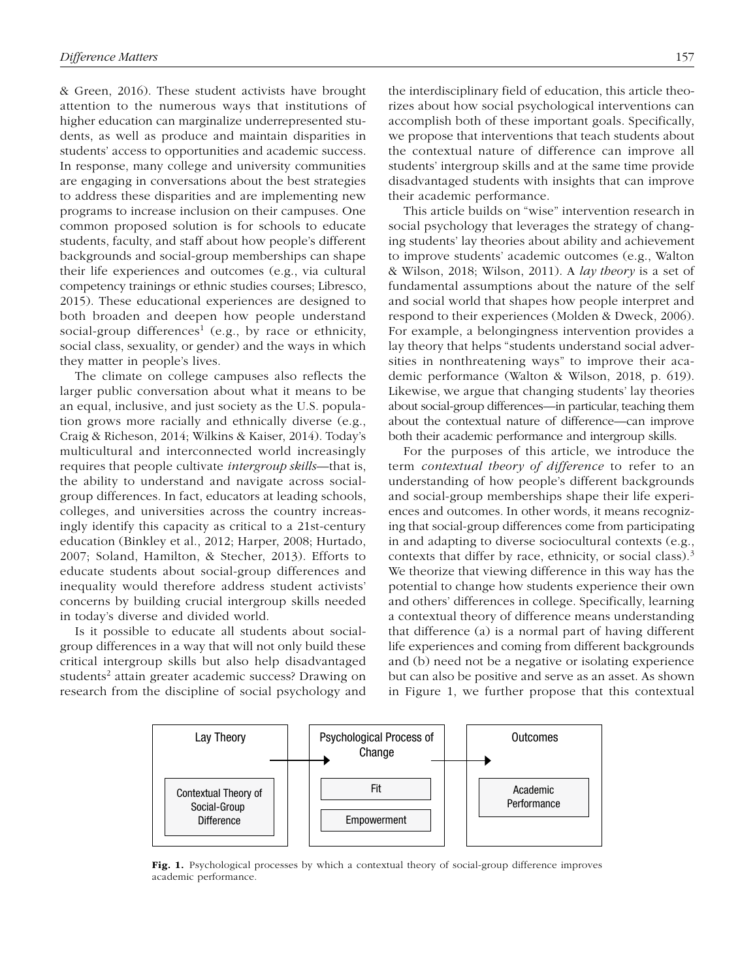& Green, 2016). These student activists have brought attention to the numerous ways that institutions of higher education can marginalize underrepresented students, as well as produce and maintain disparities in students' access to opportunities and academic success. In response, many college and university communities are engaging in conversations about the best strategies to address these disparities and are implementing new programs to increase inclusion on their campuses. One common proposed solution is for schools to educate students, faculty, and staff about how people's different backgrounds and social-group memberships can shape their life experiences and outcomes (e.g., via cultural competency trainings or ethnic studies courses; Libresco, 2015). These educational experiences are designed to both broaden and deepen how people understand social-group differences<sup>1</sup> (e.g., by race or ethnicity, social class, sexuality, or gender) and the ways in which they matter in people's lives.

The climate on college campuses also reflects the larger public conversation about what it means to be an equal, inclusive, and just society as the U.S. population grows more racially and ethnically diverse (e.g., Craig & Richeson, 2014; Wilkins & Kaiser, 2014). Today's multicultural and interconnected world increasingly requires that people cultivate *intergroup skills*—that is, the ability to understand and navigate across socialgroup differences. In fact, educators at leading schools, colleges, and universities across the country increasingly identify this capacity as critical to a 21st-century education (Binkley et al., 2012; Harper, 2008; Hurtado, 2007; Soland, Hamilton, & Stecher, 2013). Efforts to educate students about social-group differences and inequality would therefore address student activists' concerns by building crucial intergroup skills needed in today's diverse and divided world.

Is it possible to educate all students about socialgroup differences in a way that will not only build these critical intergroup skills but also help disadvantaged students<sup>2</sup> attain greater academic success? Drawing on research from the discipline of social psychology and

the interdisciplinary field of education, this article theorizes about how social psychological interventions can accomplish both of these important goals. Specifically, we propose that interventions that teach students about the contextual nature of difference can improve all students' intergroup skills and at the same time provide disadvantaged students with insights that can improve their academic performance.

This article builds on "wise" intervention research in social psychology that leverages the strategy of changing students' lay theories about ability and achievement to improve students' academic outcomes (e.g., Walton & Wilson, 2018; Wilson, 2011). A *lay theory* is a set of fundamental assumptions about the nature of the self and social world that shapes how people interpret and respond to their experiences (Molden & Dweck, 2006). For example, a belongingness intervention provides a lay theory that helps "students understand social adversities in nonthreatening ways" to improve their academic performance (Walton & Wilson, 2018, p. 619). Likewise, we argue that changing students' lay theories about social-group differences—in particular, teaching them about the contextual nature of difference—can improve both their academic performance and intergroup skills.

For the purposes of this article, we introduce the term *contextual theory of difference* to refer to an understanding of how people's different backgrounds and social-group memberships shape their life experiences and outcomes. In other words, it means recognizing that social-group differences come from participating in and adapting to diverse sociocultural contexts (e.g., contexts that differ by race, ethnicity, or social class).<sup>3</sup> We theorize that viewing difference in this way has the potential to change how students experience their own and others' differences in college. Specifically, learning a contextual theory of difference means understanding that difference (a) is a normal part of having different life experiences and coming from different backgrounds and (b) need not be a negative or isolating experience but can also be positive and serve as an asset. As shown in Figure 1, we further propose that this contextual



Fig. 1. Psychological processes by which a contextual theory of social-group difference improves academic performance.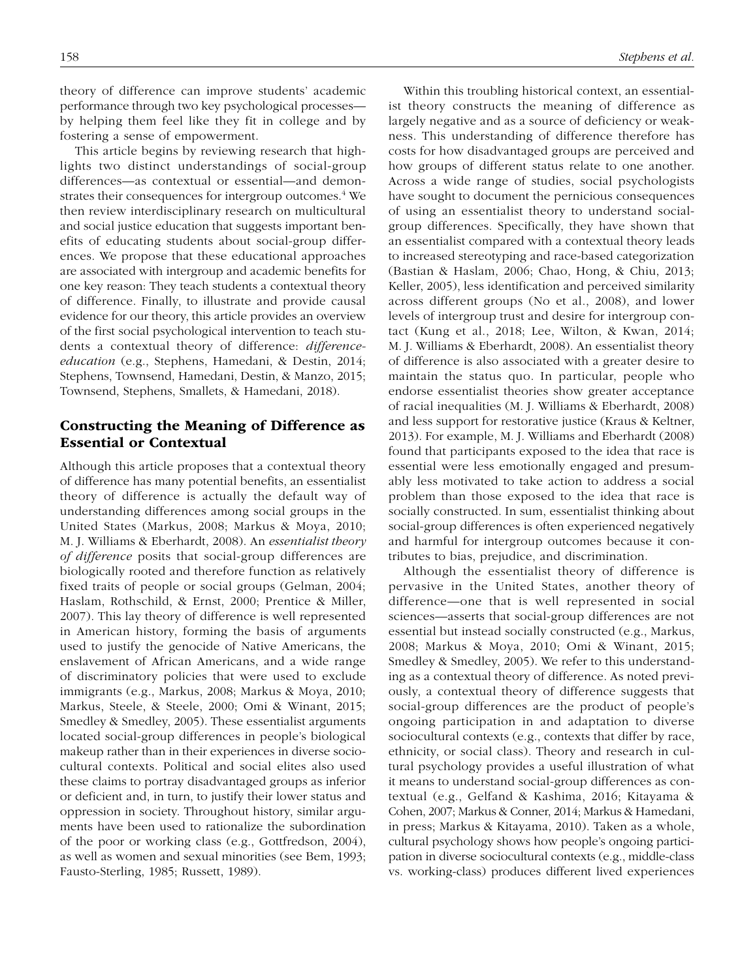theory of difference can improve students' academic performance through two key psychological processes by helping them feel like they fit in college and by fostering a sense of empowerment.

This article begins by reviewing research that highlights two distinct understandings of social-group differences—as contextual or essential—and demonstrates their consequences for intergroup outcomes.<sup>4</sup> We then review interdisciplinary research on multicultural and social justice education that suggests important benefits of educating students about social-group differences. We propose that these educational approaches are associated with intergroup and academic benefits for one key reason: They teach students a contextual theory of difference. Finally, to illustrate and provide causal evidence for our theory, this article provides an overview of the first social psychological intervention to teach students a contextual theory of difference: *differenceeducation* (e.g., Stephens, Hamedani, & Destin, 2014; Stephens, Townsend, Hamedani, Destin, & Manzo, 2015; Townsend, Stephens, Smallets, & Hamedani, 2018).

## Constructing the Meaning of Difference as Essential or Contextual

Although this article proposes that a contextual theory of difference has many potential benefits, an essentialist theory of difference is actually the default way of understanding differences among social groups in the United States (Markus, 2008; Markus & Moya, 2010; M. J. Williams & Eberhardt, 2008). An *essentialist theory of difference* posits that social-group differences are biologically rooted and therefore function as relatively fixed traits of people or social groups (Gelman, 2004; Haslam, Rothschild, & Ernst, 2000; Prentice & Miller, 2007). This lay theory of difference is well represented in American history, forming the basis of arguments used to justify the genocide of Native Americans, the enslavement of African Americans, and a wide range of discriminatory policies that were used to exclude immigrants (e.g., Markus, 2008; Markus & Moya, 2010; Markus, Steele, & Steele, 2000; Omi & Winant, 2015; Smedley & Smedley, 2005). These essentialist arguments located social-group differences in people's biological makeup rather than in their experiences in diverse sociocultural contexts. Political and social elites also used these claims to portray disadvantaged groups as inferior or deficient and, in turn, to justify their lower status and oppression in society. Throughout history, similar arguments have been used to rationalize the subordination of the poor or working class (e.g., Gottfredson, 2004), as well as women and sexual minorities (see Bem, 1993; Fausto-Sterling, 1985; Russett, 1989).

Within this troubling historical context, an essentialist theory constructs the meaning of difference as largely negative and as a source of deficiency or weakness. This understanding of difference therefore has costs for how disadvantaged groups are perceived and how groups of different status relate to one another. Across a wide range of studies, social psychologists have sought to document the pernicious consequences of using an essentialist theory to understand socialgroup differences. Specifically, they have shown that an essentialist compared with a contextual theory leads to increased stereotyping and race-based categorization (Bastian & Haslam, 2006; Chao, Hong, & Chiu, 2013; Keller, 2005), less identification and perceived similarity across different groups (No et al., 2008), and lower levels of intergroup trust and desire for intergroup contact (Kung et al., 2018; Lee, Wilton, & Kwan, 2014; M. J. Williams & Eberhardt, 2008). An essentialist theory of difference is also associated with a greater desire to maintain the status quo. In particular, people who endorse essentialist theories show greater acceptance of racial inequalities (M. J. Williams & Eberhardt, 2008) and less support for restorative justice (Kraus & Keltner, 2013). For example, M. J. Williams and Eberhardt (2008) found that participants exposed to the idea that race is essential were less emotionally engaged and presumably less motivated to take action to address a social problem than those exposed to the idea that race is socially constructed. In sum, essentialist thinking about social-group differences is often experienced negatively and harmful for intergroup outcomes because it contributes to bias, prejudice, and discrimination.

Although the essentialist theory of difference is pervasive in the United States, another theory of difference—one that is well represented in social sciences—asserts that social-group differences are not essential but instead socially constructed (e.g., Markus, 2008; Markus & Moya, 2010; Omi & Winant, 2015; Smedley & Smedley, 2005). We refer to this understanding as a contextual theory of difference. As noted previously, a contextual theory of difference suggests that social-group differences are the product of people's ongoing participation in and adaptation to diverse sociocultural contexts (e.g., contexts that differ by race, ethnicity, or social class). Theory and research in cultural psychology provides a useful illustration of what it means to understand social-group differences as contextual (e.g., Gelfand & Kashima, 2016; Kitayama & Cohen, 2007; Markus & Conner, 2014; Markus & Hamedani, in press; Markus & Kitayama, 2010). Taken as a whole, cultural psychology shows how people's ongoing participation in diverse sociocultural contexts (e.g., middle-class vs. working-class) produces different lived experiences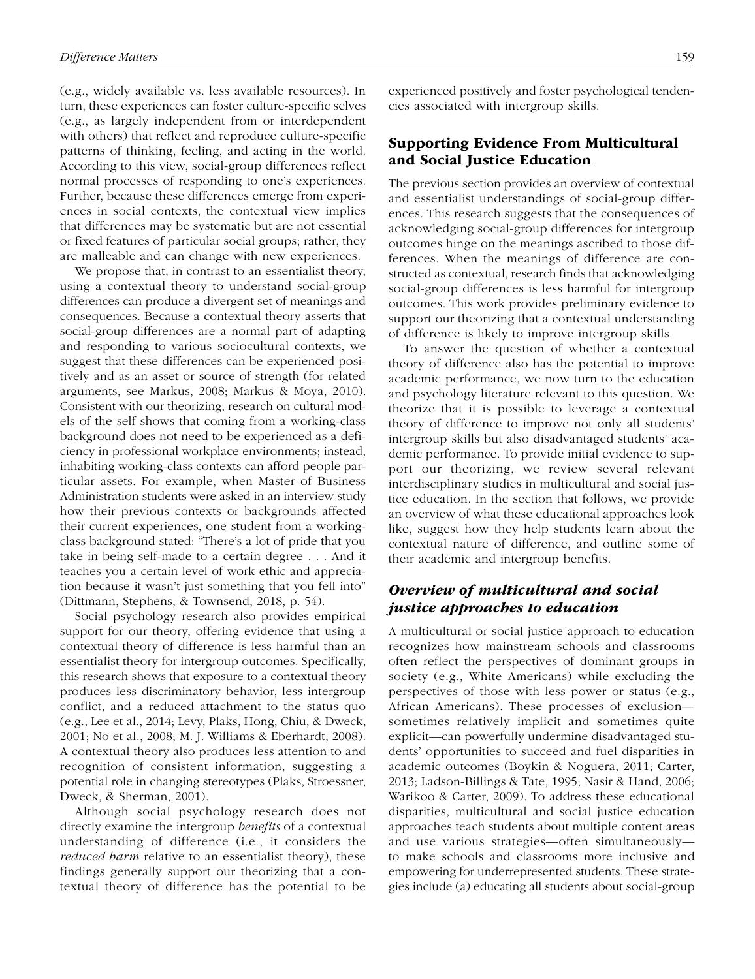(e.g., widely available vs. less available resources). In turn, these experiences can foster culture-specific selves (e.g., as largely independent from or interdependent with others) that reflect and reproduce culture-specific patterns of thinking, feeling, and acting in the world. According to this view, social-group differences reflect normal processes of responding to one's experiences. Further, because these differences emerge from experiences in social contexts, the contextual view implies that differences may be systematic but are not essential or fixed features of particular social groups; rather, they are malleable and can change with new experiences.

We propose that, in contrast to an essentialist theory, using a contextual theory to understand social-group differences can produce a divergent set of meanings and consequences. Because a contextual theory asserts that social-group differences are a normal part of adapting and responding to various sociocultural contexts, we suggest that these differences can be experienced positively and as an asset or source of strength (for related arguments, see Markus, 2008; Markus & Moya, 2010). Consistent with our theorizing, research on cultural models of the self shows that coming from a working-class background does not need to be experienced as a deficiency in professional workplace environments; instead, inhabiting working-class contexts can afford people particular assets. For example, when Master of Business Administration students were asked in an interview study how their previous contexts or backgrounds affected their current experiences, one student from a workingclass background stated: "There's a lot of pride that you take in being self-made to a certain degree . . . And it teaches you a certain level of work ethic and appreciation because it wasn't just something that you fell into" (Dittmann, Stephens, & Townsend, 2018, p. 54).

Social psychology research also provides empirical support for our theory, offering evidence that using a contextual theory of difference is less harmful than an essentialist theory for intergroup outcomes. Specifically, this research shows that exposure to a contextual theory produces less discriminatory behavior, less intergroup conflict, and a reduced attachment to the status quo (e.g., Lee et al., 2014; Levy, Plaks, Hong, Chiu, & Dweck, 2001; No et al., 2008; M. J. Williams & Eberhardt, 2008). A contextual theory also produces less attention to and recognition of consistent information, suggesting a potential role in changing stereotypes (Plaks, Stroessner, Dweck, & Sherman, 2001).

Although social psychology research does not directly examine the intergroup *benefits* of a contextual understanding of difference (i.e., it considers the *reduced harm* relative to an essentialist theory), these findings generally support our theorizing that a contextual theory of difference has the potential to be experienced positively and foster psychological tendencies associated with intergroup skills.

## Supporting Evidence From Multicultural and Social Justice Education

The previous section provides an overview of contextual and essentialist understandings of social-group differences. This research suggests that the consequences of acknowledging social-group differences for intergroup outcomes hinge on the meanings ascribed to those differences. When the meanings of difference are constructed as contextual, research finds that acknowledging social-group differences is less harmful for intergroup outcomes. This work provides preliminary evidence to support our theorizing that a contextual understanding of difference is likely to improve intergroup skills.

To answer the question of whether a contextual theory of difference also has the potential to improve academic performance, we now turn to the education and psychology literature relevant to this question. We theorize that it is possible to leverage a contextual theory of difference to improve not only all students' intergroup skills but also disadvantaged students' academic performance. To provide initial evidence to support our theorizing, we review several relevant interdisciplinary studies in multicultural and social justice education. In the section that follows, we provide an overview of what these educational approaches look like, suggest how they help students learn about the contextual nature of difference, and outline some of their academic and intergroup benefits.

# *Overview of multicultural and social justice approaches to education*

A multicultural or social justice approach to education recognizes how mainstream schools and classrooms often reflect the perspectives of dominant groups in society (e.g., White Americans) while excluding the perspectives of those with less power or status (e.g., African Americans). These processes of exclusion sometimes relatively implicit and sometimes quite explicit—can powerfully undermine disadvantaged students' opportunities to succeed and fuel disparities in academic outcomes (Boykin & Noguera, 2011; Carter, 2013; Ladson-Billings & Tate, 1995; Nasir & Hand, 2006; Warikoo & Carter, 2009). To address these educational disparities, multicultural and social justice education approaches teach students about multiple content areas and use various strategies—often simultaneously to make schools and classrooms more inclusive and empowering for underrepresented students. These strategies include (a) educating all students about social-group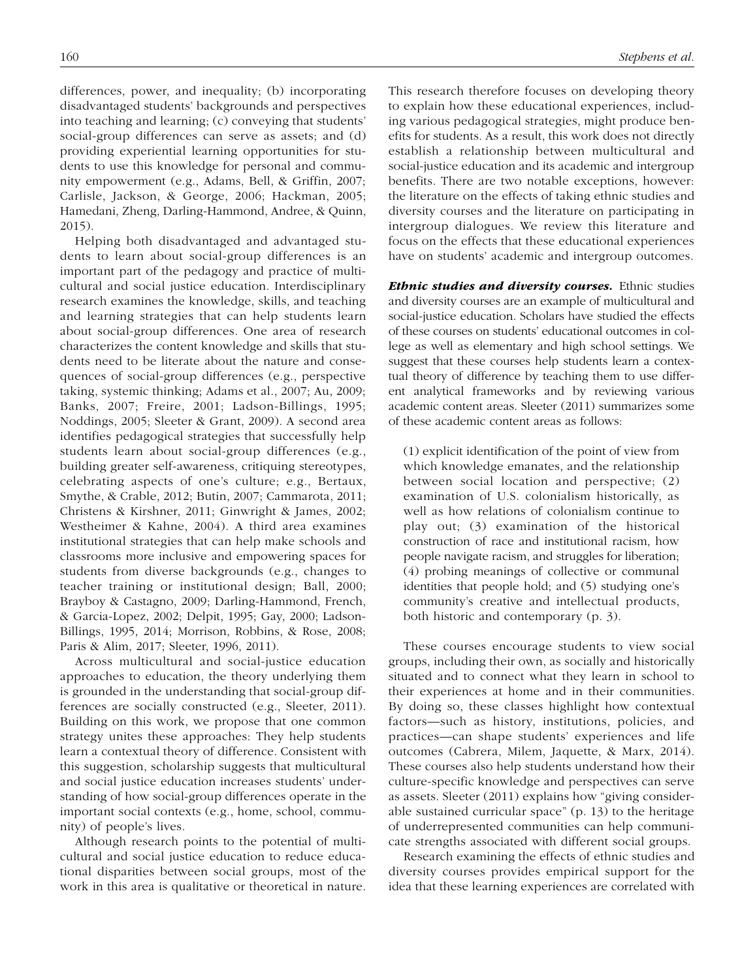differences, power, and inequality; (b) incorporating disadvantaged students' backgrounds and perspectives into teaching and learning; (c) conveying that students' social-group differences can serve as assets; and (d) providing experiential learning opportunities for students to use this knowledge for personal and community empowerment (e.g., Adams, Bell, & Griffin, 2007; Carlisle, Jackson, & George, 2006; Hackman, 2005; Hamedani, Zheng, Darling-Hammond, Andree, & Quinn, 2015).

Helping both disadvantaged and advantaged students to learn about social-group differences is an important part of the pedagogy and practice of multicultural and social justice education. Interdisciplinary research examines the knowledge, skills, and teaching and learning strategies that can help students learn about social-group differences. One area of research characterizes the content knowledge and skills that students need to be literate about the nature and consequences of social-group differences (e.g., perspective taking, systemic thinking; Adams et al., 2007; Au, 2009; Banks, 2007; Freire, 2001; Ladson-Billings, 1995; Noddings, 2005; Sleeter & Grant, 2009). A second area identifies pedagogical strategies that successfully help students learn about social-group differences (e.g., building greater self-awareness, critiquing stereotypes, celebrating aspects of one's culture; e.g., Bertaux, Smythe, & Crable, 2012; Butin, 2007; Cammarota, 2011; Christens & Kirshner, 2011; Ginwright & James, 2002; Westheimer & Kahne, 2004). A third area examines institutional strategies that can help make schools and classrooms more inclusive and empowering spaces for students from diverse backgrounds (e.g., changes to teacher training or institutional design; Ball, 2000; Brayboy & Castagno, 2009; Darling-Hammond, French, & Garcia-Lopez, 2002; Delpit, 1995; Gay, 2000; Ladson-Billings, 1995, 2014; Morrison, Robbins, & Rose, 2008; Paris & Alim, 2017; Sleeter, 1996, 2011).

Across multicultural and social-justice education approaches to education, the theory underlying them is grounded in the understanding that social-group differences are socially constructed (e.g., Sleeter, 2011). Building on this work, we propose that one common strategy unites these approaches: They help students learn a contextual theory of difference. Consistent with this suggestion, scholarship suggests that multicultural and social justice education increases students' understanding of how social-group differences operate in the important social contexts (e.g., home, school, community) of people's lives.

Although research points to the potential of multicultural and social justice education to reduce educational disparities between social groups, most of the work in this area is qualitative or theoretical in nature. This research therefore focuses on developing theory to explain how these educational experiences, including various pedagogical strategies, might produce benefits for students. As a result, this work does not directly establish a relationship between multicultural and social-justice education and its academic and intergroup benefits. There are two notable exceptions, however: the literature on the effects of taking ethnic studies and diversity courses and the literature on participating in intergroup dialogues. We review this literature and focus on the effects that these educational experiences have on students' academic and intergroup outcomes.

*Ethnic studies and diversity courses.* Ethnic studies and diversity courses are an example of multicultural and social-justice education. Scholars have studied the effects of these courses on students' educational outcomes in college as well as elementary and high school settings. We suggest that these courses help students learn a contextual theory of difference by teaching them to use different analytical frameworks and by reviewing various academic content areas. Sleeter (2011) summarizes some of these academic content areas as follows:

(1) explicit identification of the point of view from which knowledge emanates, and the relationship between social location and perspective; (2) examination of U.S. colonialism historically, as well as how relations of colonialism continue to play out; (3) examination of the historical construction of race and institutional racism, how people navigate racism, and struggles for liberation; (4) probing meanings of collective or communal identities that people hold; and (5) studying one's community's creative and intellectual products, both historic and contemporary (p. 3).

These courses encourage students to view social groups, including their own, as socially and historically situated and to connect what they learn in school to their experiences at home and in their communities. By doing so, these classes highlight how contextual factors—such as history, institutions, policies, and practices—can shape students' experiences and life outcomes (Cabrera, Milem, Jaquette, & Marx, 2014). These courses also help students understand how their culture-specific knowledge and perspectives can serve as assets. Sleeter (2011) explains how "giving considerable sustained curricular space" (p. 13) to the heritage of underrepresented communities can help communicate strengths associated with different social groups.

Research examining the effects of ethnic studies and diversity courses provides empirical support for the idea that these learning experiences are correlated with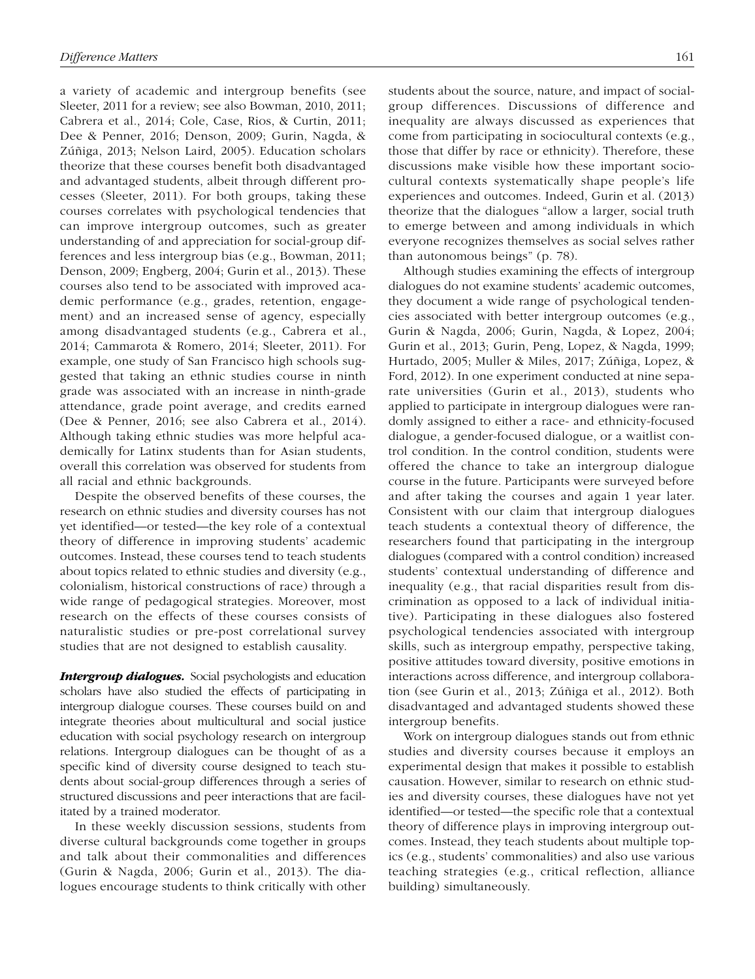a variety of academic and intergroup benefits (see Sleeter, 2011 for a review; see also Bowman, 2010, 2011; Cabrera et al., 2014; Cole, Case, Rios, & Curtin, 2011; Dee & Penner, 2016; Denson, 2009; Gurin, Nagda, & Zúñiga, 2013; Nelson Laird, 2005). Education scholars theorize that these courses benefit both disadvantaged and advantaged students, albeit through different processes (Sleeter, 2011). For both groups, taking these courses correlates with psychological tendencies that can improve intergroup outcomes, such as greater understanding of and appreciation for social-group differences and less intergroup bias (e.g., Bowman, 2011; Denson, 2009; Engberg, 2004; Gurin et al., 2013). These courses also tend to be associated with improved academic performance (e.g., grades, retention, engagement) and an increased sense of agency, especially among disadvantaged students (e.g., Cabrera et al., 2014; Cammarota & Romero, 2014; Sleeter, 2011). For example, one study of San Francisco high schools suggested that taking an ethnic studies course in ninth grade was associated with an increase in ninth-grade attendance, grade point average, and credits earned (Dee & Penner, 2016; see also Cabrera et al., 2014). Although taking ethnic studies was more helpful academically for Latinx students than for Asian students, overall this correlation was observed for students from all racial and ethnic backgrounds.

Despite the observed benefits of these courses, the research on ethnic studies and diversity courses has not yet identified—or tested—the key role of a contextual theory of difference in improving students' academic outcomes. Instead, these courses tend to teach students about topics related to ethnic studies and diversity (e.g., colonialism, historical constructions of race) through a wide range of pedagogical strategies. Moreover, most research on the effects of these courses consists of naturalistic studies or pre-post correlational survey studies that are not designed to establish causality.

**Intergroup dialogues.** Social psychologists and education scholars have also studied the effects of participating in intergroup dialogue courses. These courses build on and integrate theories about multicultural and social justice education with social psychology research on intergroup relations. Intergroup dialogues can be thought of as a specific kind of diversity course designed to teach students about social-group differences through a series of structured discussions and peer interactions that are facilitated by a trained moderator.

In these weekly discussion sessions, students from diverse cultural backgrounds come together in groups and talk about their commonalities and differences (Gurin & Nagda, 2006; Gurin et al., 2013). The dialogues encourage students to think critically with other students about the source, nature, and impact of socialgroup differences. Discussions of difference and inequality are always discussed as experiences that come from participating in sociocultural contexts (e.g., those that differ by race or ethnicity). Therefore, these discussions make visible how these important sociocultural contexts systematically shape people's life experiences and outcomes. Indeed, Gurin et al. (2013) theorize that the dialogues "allow a larger, social truth to emerge between and among individuals in which everyone recognizes themselves as social selves rather than autonomous beings" (p. 78).

Although studies examining the effects of intergroup dialogues do not examine students' academic outcomes, they document a wide range of psychological tendencies associated with better intergroup outcomes (e.g., Gurin & Nagda, 2006; Gurin, Nagda, & Lopez, 2004; Gurin et al., 2013; Gurin, Peng, Lopez, & Nagda, 1999; Hurtado, 2005; Muller & Miles, 2017; Zúñiga, Lopez, & Ford, 2012). In one experiment conducted at nine separate universities (Gurin et al., 2013), students who applied to participate in intergroup dialogues were randomly assigned to either a race- and ethnicity-focused dialogue, a gender-focused dialogue, or a waitlist control condition. In the control condition, students were offered the chance to take an intergroup dialogue course in the future. Participants were surveyed before and after taking the courses and again 1 year later. Consistent with our claim that intergroup dialogues teach students a contextual theory of difference, the researchers found that participating in the intergroup dialogues (compared with a control condition) increased students' contextual understanding of difference and inequality (e.g., that racial disparities result from discrimination as opposed to a lack of individual initiative). Participating in these dialogues also fostered psychological tendencies associated with intergroup skills, such as intergroup empathy, perspective taking, positive attitudes toward diversity, positive emotions in interactions across difference, and intergroup collaboration (see Gurin et al., 2013; Zúñiga et al., 2012). Both disadvantaged and advantaged students showed these intergroup benefits.

Work on intergroup dialogues stands out from ethnic studies and diversity courses because it employs an experimental design that makes it possible to establish causation. However, similar to research on ethnic studies and diversity courses, these dialogues have not yet identified—or tested—the specific role that a contextual theory of difference plays in improving intergroup outcomes. Instead, they teach students about multiple topics (e.g., students' commonalities) and also use various teaching strategies (e.g., critical reflection, alliance building) simultaneously.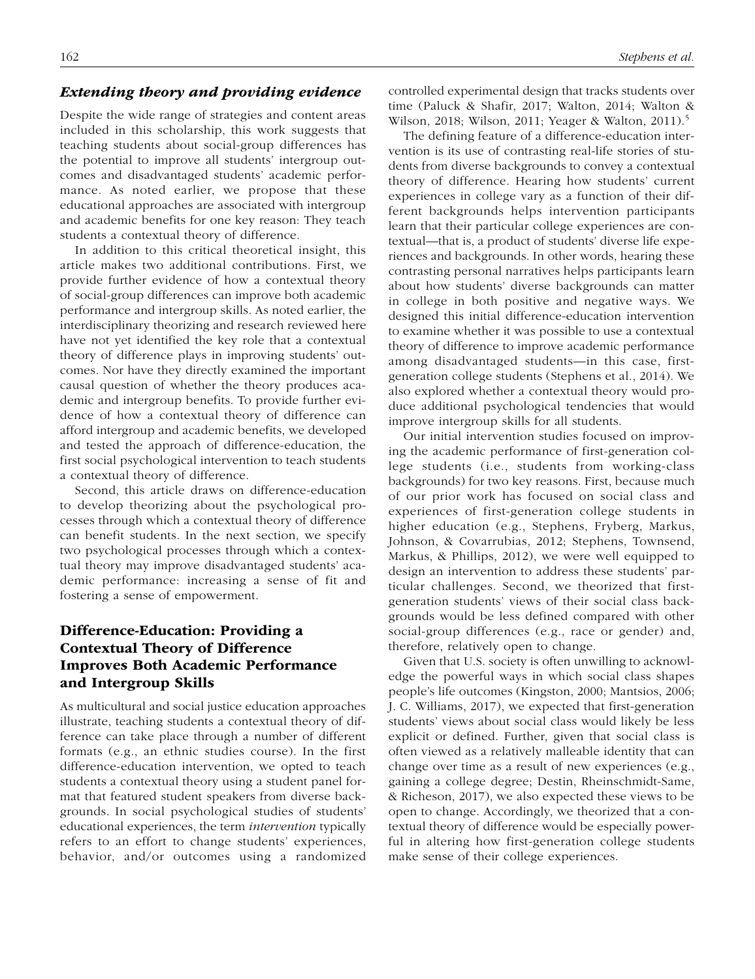## *Extending theory and providing evidence*

Despite the wide range of strategies and content areas included in this scholarship, this work suggests that teaching students about social-group differences has the potential to improve all students' intergroup outcomes and disadvantaged students' academic performance. As noted earlier, we propose that these educational approaches are associated with intergroup and academic benefits for one key reason: They teach students a contextual theory of difference.

In addition to this critical theoretical insight, this article makes two additional contributions. First, we provide further evidence of how a contextual theory of social-group differences can improve both academic performance and intergroup skills. As noted earlier, the interdisciplinary theorizing and research reviewed here have not yet identified the key role that a contextual theory of difference plays in improving students' outcomes. Nor have they directly examined the important causal question of whether the theory produces academic and intergroup benefits. To provide further evidence of how a contextual theory of difference can afford intergroup and academic benefits, we developed and tested the approach of difference-education, the first social psychological intervention to teach students a contextual theory of difference.

Second, this article draws on difference-education to develop theorizing about the psychological processes through which a contextual theory of difference can benefit students. In the next section, we specify two psychological processes through which a contextual theory may improve disadvantaged students' academic performance: increasing a sense of fit and fostering a sense of empowerment.

# Difference-Education: Providing a Contextual Theory of Difference Improves Both Academic Performance and Intergroup Skills

As multicultural and social justice education approaches illustrate, teaching students a contextual theory of difference can take place through a number of different formats (e.g., an ethnic studies course). In the first difference-education intervention, we opted to teach students a contextual theory using a student panel format that featured student speakers from diverse backgrounds. In social psychological studies of students' educational experiences, the term *intervention* typically refers to an effort to change students' experiences, behavior, and/or outcomes using a randomized controlled experimental design that tracks students over time (Paluck & Shafir, 2017; Walton, 2014; Walton & Wilson, 2018; Wilson, 2011; Yeager & Walton, 2011).<sup>5</sup>

The defining feature of a difference-education intervention is its use of contrasting real-life stories of students from diverse backgrounds to convey a contextual theory of difference. Hearing how students' current experiences in college vary as a function of their different backgrounds helps intervention participants learn that their particular college experiences are contextual—that is, a product of students' diverse life experiences and backgrounds. In other words, hearing these contrasting personal narratives helps participants learn about how students' diverse backgrounds can matter in college in both positive and negative ways. We designed this initial difference-education intervention to examine whether it was possible to use a contextual theory of difference to improve academic performance among disadvantaged students—in this case, firstgeneration college students (Stephens et al., 2014). We also explored whether a contextual theory would produce additional psychological tendencies that would improve intergroup skills for all students.

Our initial intervention studies focused on improving the academic performance of first-generation college students (i.e., students from working-class backgrounds) for two key reasons. First, because much of our prior work has focused on social class and experiences of first-generation college students in higher education (e.g., Stephens, Fryberg, Markus, Johnson, & Covarrubias, 2012; Stephens, Townsend, Markus, & Phillips, 2012), we were well equipped to design an intervention to address these students' particular challenges. Second, we theorized that firstgeneration students' views of their social class backgrounds would be less defined compared with other social-group differences (e.g., race or gender) and, therefore, relatively open to change.

Given that U.S. society is often unwilling to acknowledge the powerful ways in which social class shapes people's life outcomes (Kingston, 2000; Mantsios, 2006; J. C. Williams, 2017), we expected that first-generation students' views about social class would likely be less explicit or defined. Further, given that social class is often viewed as a relatively malleable identity that can change over time as a result of new experiences (e.g., gaining a college degree; Destin, Rheinschmidt-Same, & Richeson, 2017), we also expected these views to be open to change. Accordingly, we theorized that a contextual theory of difference would be especially powerful in altering how first-generation college students make sense of their college experiences.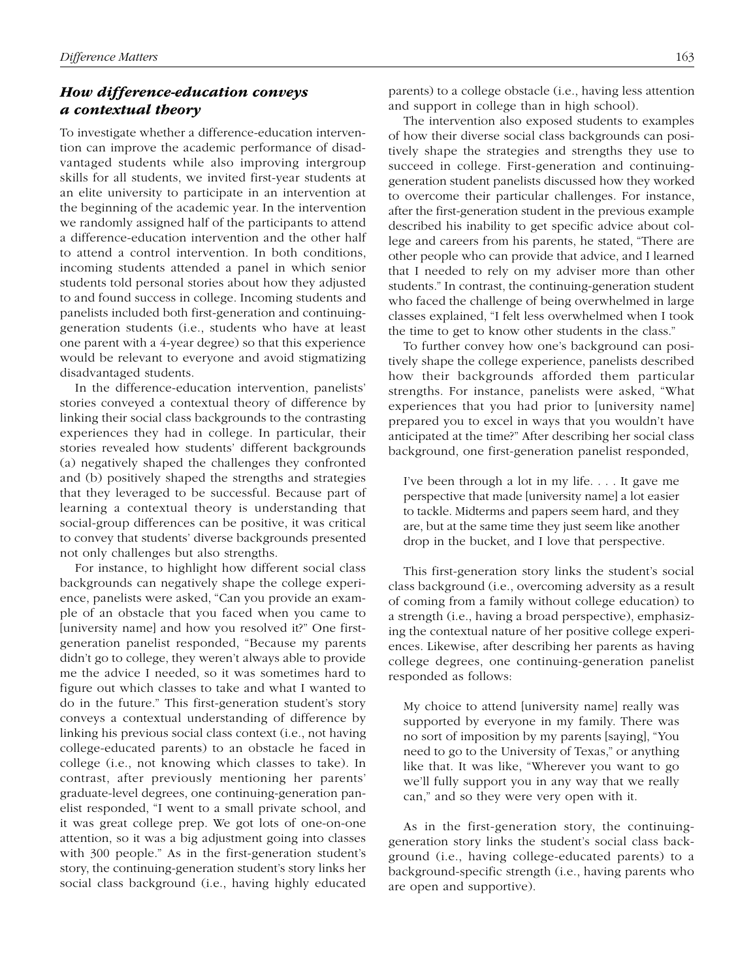# *How difference-education conveys a contextual theory*

To investigate whether a difference-education intervention can improve the academic performance of disadvantaged students while also improving intergroup skills for all students, we invited first-year students at an elite university to participate in an intervention at the beginning of the academic year. In the intervention we randomly assigned half of the participants to attend a difference-education intervention and the other half to attend a control intervention. In both conditions, incoming students attended a panel in which senior students told personal stories about how they adjusted to and found success in college. Incoming students and panelists included both first-generation and continuinggeneration students (i.e., students who have at least one parent with a 4-year degree) so that this experience would be relevant to everyone and avoid stigmatizing disadvantaged students.

In the difference-education intervention, panelists' stories conveyed a contextual theory of difference by linking their social class backgrounds to the contrasting experiences they had in college. In particular, their stories revealed how students' different backgrounds (a) negatively shaped the challenges they confronted and (b) positively shaped the strengths and strategies that they leveraged to be successful. Because part of learning a contextual theory is understanding that social-group differences can be positive, it was critical to convey that students' diverse backgrounds presented not only challenges but also strengths.

For instance, to highlight how different social class backgrounds can negatively shape the college experience, panelists were asked, "Can you provide an example of an obstacle that you faced when you came to [university name] and how you resolved it?" One firstgeneration panelist responded, "Because my parents didn't go to college, they weren't always able to provide me the advice I needed, so it was sometimes hard to figure out which classes to take and what I wanted to do in the future." This first-generation student's story conveys a contextual understanding of difference by linking his previous social class context (i.e., not having college-educated parents) to an obstacle he faced in college (i.e., not knowing which classes to take). In contrast, after previously mentioning her parents' graduate-level degrees, one continuing-generation panelist responded, "I went to a small private school, and it was great college prep. We got lots of one-on-one attention, so it was a big adjustment going into classes with 300 people." As in the first-generation student's story, the continuing-generation student's story links her social class background (i.e., having highly educated parents) to a college obstacle (i.e., having less attention and support in college than in high school).

The intervention also exposed students to examples of how their diverse social class backgrounds can positively shape the strategies and strengths they use to succeed in college. First-generation and continuinggeneration student panelists discussed how they worked to overcome their particular challenges. For instance, after the first-generation student in the previous example described his inability to get specific advice about college and careers from his parents, he stated, "There are other people who can provide that advice, and I learned that I needed to rely on my adviser more than other students." In contrast, the continuing-generation student who faced the challenge of being overwhelmed in large classes explained, "I felt less overwhelmed when I took the time to get to know other students in the class."

To further convey how one's background can positively shape the college experience, panelists described how their backgrounds afforded them particular strengths. For instance, panelists were asked, "What experiences that you had prior to [university name] prepared you to excel in ways that you wouldn't have anticipated at the time?" After describing her social class background, one first-generation panelist responded,

I've been through a lot in my life. . . . It gave me perspective that made [university name] a lot easier to tackle. Midterms and papers seem hard, and they are, but at the same time they just seem like another drop in the bucket, and I love that perspective.

This first-generation story links the student's social class background (i.e., overcoming adversity as a result of coming from a family without college education) to a strength (i.e., having a broad perspective), emphasizing the contextual nature of her positive college experiences. Likewise, after describing her parents as having college degrees, one continuing-generation panelist responded as follows:

My choice to attend [university name] really was supported by everyone in my family. There was no sort of imposition by my parents [saying], "You need to go to the University of Texas," or anything like that. It was like, "Wherever you want to go we'll fully support you in any way that we really can," and so they were very open with it.

As in the first-generation story, the continuinggeneration story links the student's social class background (i.e., having college-educated parents) to a background-specific strength (i.e., having parents who are open and supportive).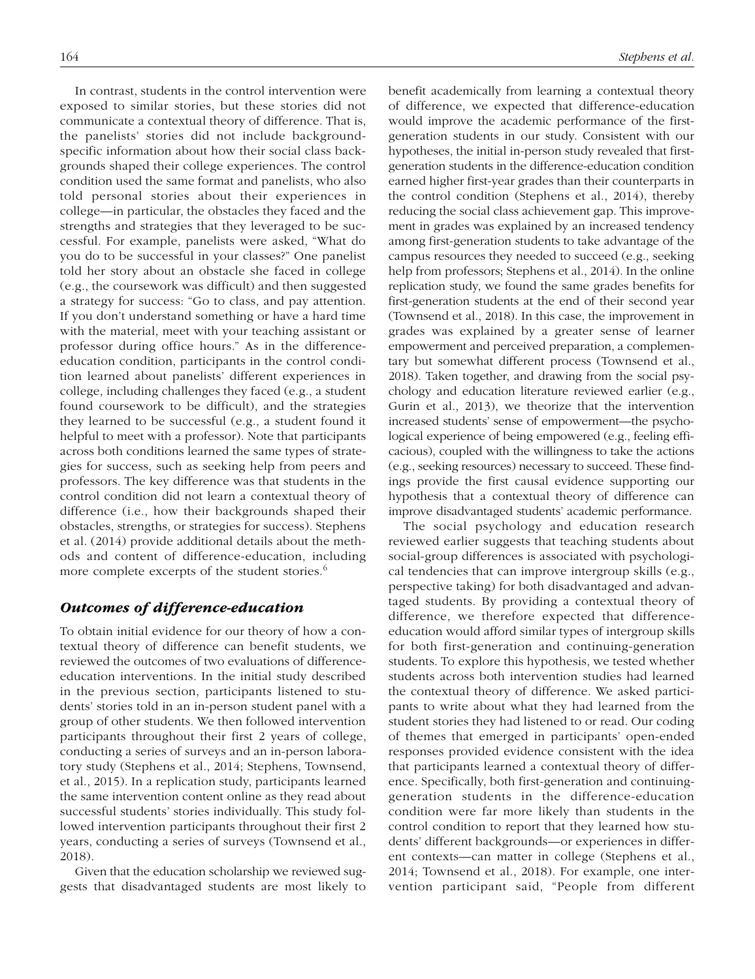In contrast, students in the control intervention were exposed to similar stories, but these stories did not communicate a contextual theory of difference. That is, the panelists' stories did not include backgroundspecific information about how their social class backgrounds shaped their college experiences. The control condition used the same format and panelists, who also told personal stories about their experiences in college—in particular, the obstacles they faced and the strengths and strategies that they leveraged to be successful. For example, panelists were asked, "What do you do to be successful in your classes?" One panelist told her story about an obstacle she faced in college (e.g., the coursework was difficult) and then suggested a strategy for success: "Go to class, and pay attention. If you don't understand something or have a hard time with the material, meet with your teaching assistant or professor during office hours." As in the differenceeducation condition, participants in the control condition learned about panelists' different experiences in college, including challenges they faced (e.g., a student found coursework to be difficult), and the strategies they learned to be successful (e.g., a student found it helpful to meet with a professor). Note that participants across both conditions learned the same types of strategies for success, such as seeking help from peers and professors. The key difference was that students in the control condition did not learn a contextual theory of difference (i.e., how their backgrounds shaped their obstacles, strengths, or strategies for success). Stephens et al. (2014) provide additional details about the methods and content of difference-education, including more complete excerpts of the student stories.<sup>6</sup>

#### *Outcomes of difference-education*

To obtain initial evidence for our theory of how a contextual theory of difference can benefit students, we reviewed the outcomes of two evaluations of differenceeducation interventions. In the initial study described in the previous section, participants listened to students' stories told in an in-person student panel with a group of other students. We then followed intervention participants throughout their first 2 years of college, conducting a series of surveys and an in-person laboratory study (Stephens et al., 2014; Stephens, Townsend, et al., 2015). In a replication study, participants learned the same intervention content online as they read about successful students' stories individually. This study followed intervention participants throughout their first 2 years, conducting a series of surveys (Townsend et al., 2018).

Given that the education scholarship we reviewed suggests that disadvantaged students are most likely to benefit academically from learning a contextual theory of difference, we expected that difference-education would improve the academic performance of the firstgeneration students in our study. Consistent with our hypotheses, the initial in-person study revealed that firstgeneration students in the difference-education condition earned higher first-year grades than their counterparts in the control condition (Stephens et al., 2014), thereby reducing the social class achievement gap. This improvement in grades was explained by an increased tendency among first-generation students to take advantage of the campus resources they needed to succeed (e.g., seeking help from professors; Stephens et al., 2014). In the online replication study, we found the same grades benefits for first-generation students at the end of their second year (Townsend et al., 2018). In this case, the improvement in grades was explained by a greater sense of learner empowerment and perceived preparation, a complementary but somewhat different process (Townsend et al., 2018). Taken together, and drawing from the social psychology and education literature reviewed earlier (e.g., Gurin et al., 2013), we theorize that the intervention increased students' sense of empowerment—the psychological experience of being empowered (e.g., feeling efficacious), coupled with the willingness to take the actions (e.g., seeking resources) necessary to succeed. These findings provide the first causal evidence supporting our hypothesis that a contextual theory of difference can improve disadvantaged students' academic performance.

The social psychology and education research reviewed earlier suggests that teaching students about social-group differences is associated with psychological tendencies that can improve intergroup skills (e.g., perspective taking) for both disadvantaged and advantaged students. By providing a contextual theory of difference, we therefore expected that differenceeducation would afford similar types of intergroup skills for both first-generation and continuing-generation students. To explore this hypothesis, we tested whether students across both intervention studies had learned the contextual theory of difference. We asked participants to write about what they had learned from the student stories they had listened to or read. Our coding of themes that emerged in participants' open-ended responses provided evidence consistent with the idea that participants learned a contextual theory of difference. Specifically, both first-generation and continuinggeneration students in the difference-education condition were far more likely than students in the control condition to report that they learned how students' different backgrounds—or experiences in different contexts—can matter in college (Stephens et al., 2014; Townsend et al., 2018). For example, one intervention participant said, "People from different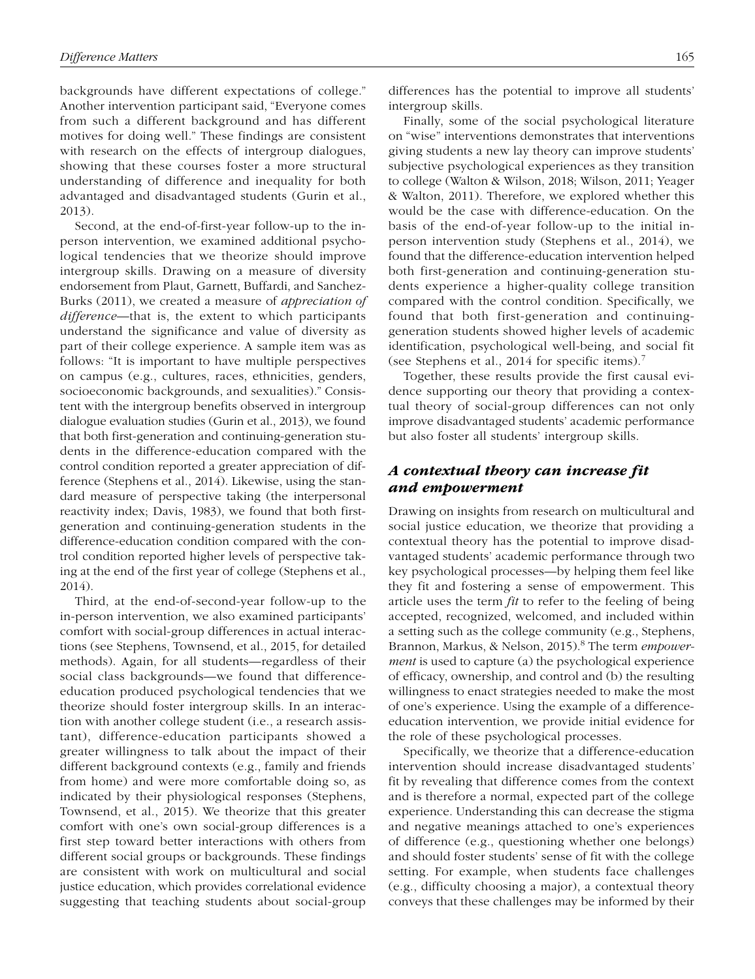backgrounds have different expectations of college." Another intervention participant said, "Everyone comes from such a different background and has different motives for doing well." These findings are consistent with research on the effects of intergroup dialogues, showing that these courses foster a more structural understanding of difference and inequality for both advantaged and disadvantaged students (Gurin et al., 2013).

Second, at the end-of-first-year follow-up to the inperson intervention, we examined additional psychological tendencies that we theorize should improve intergroup skills. Drawing on a measure of diversity endorsement from Plaut, Garnett, Buffardi, and Sanchez-Burks (2011), we created a measure of *appreciation of difference*—that is, the extent to which participants understand the significance and value of diversity as part of their college experience. A sample item was as follows: "It is important to have multiple perspectives on campus (e.g., cultures, races, ethnicities, genders, socioeconomic backgrounds, and sexualities)." Consistent with the intergroup benefits observed in intergroup dialogue evaluation studies (Gurin et al., 2013), we found that both first-generation and continuing-generation students in the difference-education compared with the control condition reported a greater appreciation of difference (Stephens et al., 2014). Likewise, using the standard measure of perspective taking (the interpersonal reactivity index; Davis, 1983), we found that both firstgeneration and continuing-generation students in the difference-education condition compared with the control condition reported higher levels of perspective taking at the end of the first year of college (Stephens et al., 2014).

Third, at the end-of-second-year follow-up to the in-person intervention, we also examined participants' comfort with social-group differences in actual interactions (see Stephens, Townsend, et al., 2015, for detailed methods). Again, for all students—regardless of their social class backgrounds—we found that differenceeducation produced psychological tendencies that we theorize should foster intergroup skills. In an interaction with another college student (i.e., a research assistant), difference-education participants showed a greater willingness to talk about the impact of their different background contexts (e.g., family and friends from home) and were more comfortable doing so, as indicated by their physiological responses (Stephens, Townsend, et al., 2015). We theorize that this greater comfort with one's own social-group differences is a first step toward better interactions with others from different social groups or backgrounds. These findings are consistent with work on multicultural and social justice education, which provides correlational evidence suggesting that teaching students about social-group differences has the potential to improve all students' intergroup skills.

Finally, some of the social psychological literature on "wise" interventions demonstrates that interventions giving students a new lay theory can improve students' subjective psychological experiences as they transition to college (Walton & Wilson, 2018; Wilson, 2011; Yeager & Walton, 2011). Therefore, we explored whether this would be the case with difference-education. On the basis of the end-of-year follow-up to the initial inperson intervention study (Stephens et al., 2014), we found that the difference-education intervention helped both first-generation and continuing-generation students experience a higher-quality college transition compared with the control condition. Specifically, we found that both first-generation and continuinggeneration students showed higher levels of academic identification, psychological well-being, and social fit (see Stephens et al., 2014 for specific items).7

Together, these results provide the first causal evidence supporting our theory that providing a contextual theory of social-group differences can not only improve disadvantaged students' academic performance but also foster all students' intergroup skills.

## *A contextual theory can increase fit and empowerment*

Drawing on insights from research on multicultural and social justice education, we theorize that providing a contextual theory has the potential to improve disadvantaged students' academic performance through two key psychological processes—by helping them feel like they fit and fostering a sense of empowerment. This article uses the term *fit* to refer to the feeling of being accepted, recognized, welcomed, and included within a setting such as the college community (e.g., Stephens, Brannon, Markus, & Nelson, 2015).8 The term *empowerment* is used to capture (a) the psychological experience of efficacy, ownership, and control and (b) the resulting willingness to enact strategies needed to make the most of one's experience. Using the example of a differenceeducation intervention, we provide initial evidence for the role of these psychological processes.

Specifically, we theorize that a difference-education intervention should increase disadvantaged students' fit by revealing that difference comes from the context and is therefore a normal, expected part of the college experience. Understanding this can decrease the stigma and negative meanings attached to one's experiences of difference (e.g., questioning whether one belongs) and should foster students' sense of fit with the college setting. For example, when students face challenges (e.g., difficulty choosing a major), a contextual theory conveys that these challenges may be informed by their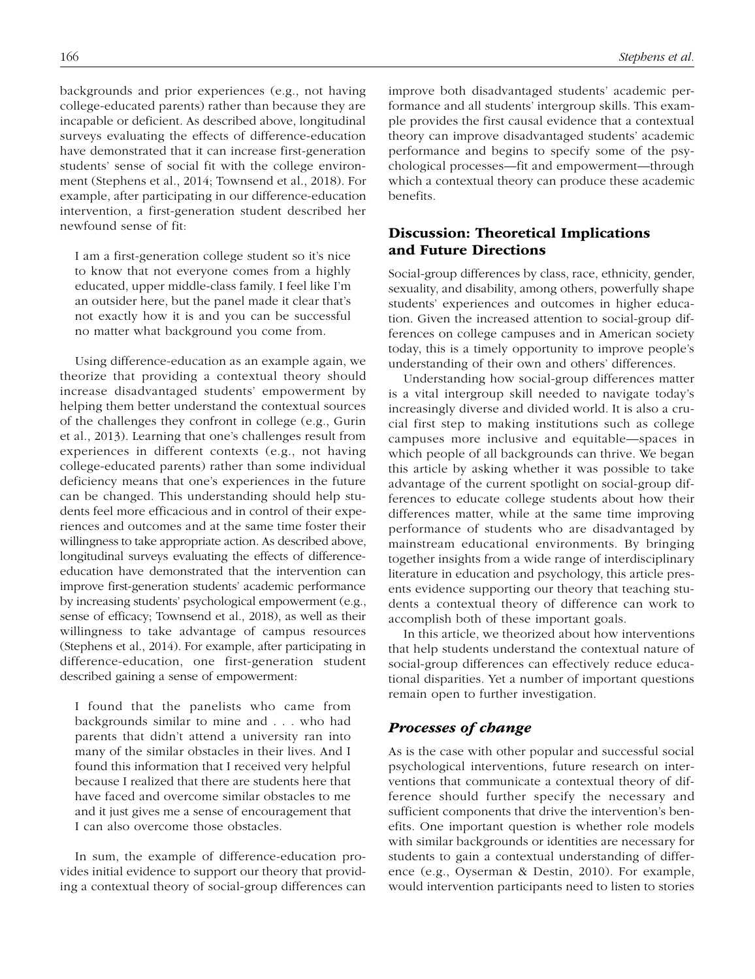backgrounds and prior experiences (e.g., not having college-educated parents) rather than because they are incapable or deficient. As described above, longitudinal surveys evaluating the effects of difference-education have demonstrated that it can increase first-generation students' sense of social fit with the college environment (Stephens et al., 2014; Townsend et al., 2018). For example, after participating in our difference-education intervention, a first-generation student described her newfound sense of fit:

I am a first-generation college student so it's nice to know that not everyone comes from a highly educated, upper middle-class family. I feel like I'm an outsider here, but the panel made it clear that's not exactly how it is and you can be successful no matter what background you come from.

Using difference-education as an example again, we theorize that providing a contextual theory should increase disadvantaged students' empowerment by helping them better understand the contextual sources of the challenges they confront in college (e.g., Gurin et al., 2013). Learning that one's challenges result from experiences in different contexts (e.g., not having college-educated parents) rather than some individual deficiency means that one's experiences in the future can be changed. This understanding should help students feel more efficacious and in control of their experiences and outcomes and at the same time foster their willingness to take appropriate action. As described above, longitudinal surveys evaluating the effects of differenceeducation have demonstrated that the intervention can improve first-generation students' academic performance by increasing students' psychological empowerment (e.g., sense of efficacy; Townsend et al., 2018), as well as their willingness to take advantage of campus resources (Stephens et al., 2014). For example, after participating in difference-education, one first-generation student described gaining a sense of empowerment:

I found that the panelists who came from backgrounds similar to mine and . . . who had parents that didn't attend a university ran into many of the similar obstacles in their lives. And I found this information that I received very helpful because I realized that there are students here that have faced and overcome similar obstacles to me and it just gives me a sense of encouragement that I can also overcome those obstacles.

In sum, the example of difference-education provides initial evidence to support our theory that providing a contextual theory of social-group differences can improve both disadvantaged students' academic performance and all students' intergroup skills. This example provides the first causal evidence that a contextual theory can improve disadvantaged students' academic performance and begins to specify some of the psychological processes—fit and empowerment—through which a contextual theory can produce these academic benefits.

## Discussion: Theoretical Implications and Future Directions

Social-group differences by class, race, ethnicity, gender, sexuality, and disability, among others, powerfully shape students' experiences and outcomes in higher education. Given the increased attention to social-group differences on college campuses and in American society today, this is a timely opportunity to improve people's understanding of their own and others' differences.

Understanding how social-group differences matter is a vital intergroup skill needed to navigate today's increasingly diverse and divided world. It is also a crucial first step to making institutions such as college campuses more inclusive and equitable—spaces in which people of all backgrounds can thrive. We began this article by asking whether it was possible to take advantage of the current spotlight on social-group differences to educate college students about how their differences matter, while at the same time improving performance of students who are disadvantaged by mainstream educational environments. By bringing together insights from a wide range of interdisciplinary literature in education and psychology, this article presents evidence supporting our theory that teaching students a contextual theory of difference can work to accomplish both of these important goals.

In this article, we theorized about how interventions that help students understand the contextual nature of social-group differences can effectively reduce educational disparities. Yet a number of important questions remain open to further investigation.

## *Processes of change*

As is the case with other popular and successful social psychological interventions, future research on interventions that communicate a contextual theory of difference should further specify the necessary and sufficient components that drive the intervention's benefits. One important question is whether role models with similar backgrounds or identities are necessary for students to gain a contextual understanding of difference (e.g., Oyserman & Destin, 2010). For example, would intervention participants need to listen to stories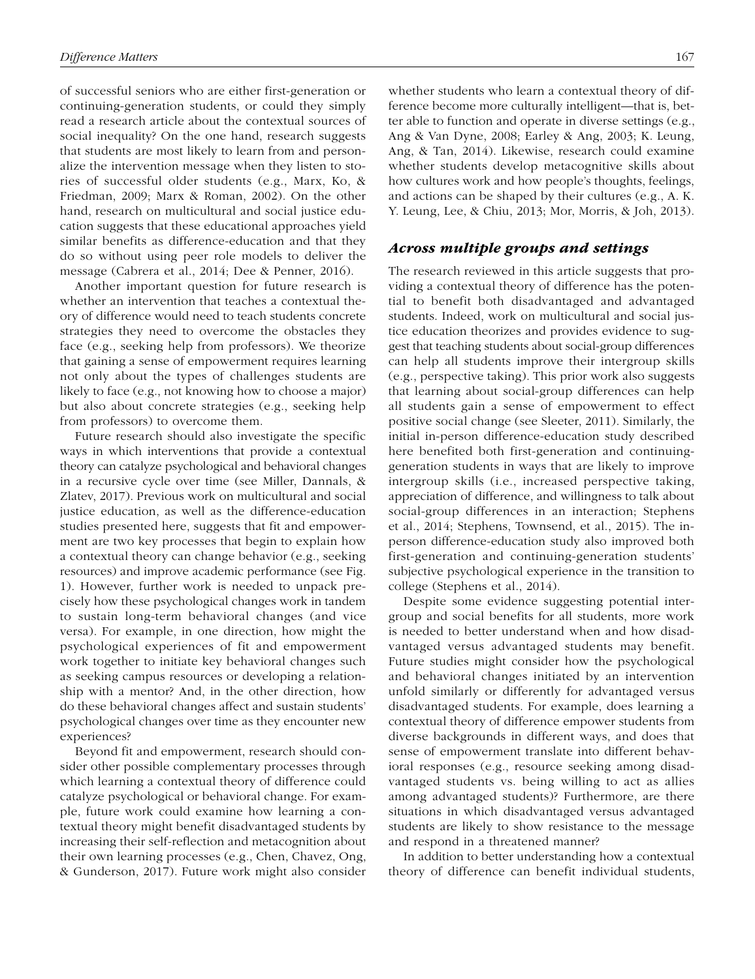of successful seniors who are either first-generation or continuing-generation students, or could they simply read a research article about the contextual sources of social inequality? On the one hand, research suggests that students are most likely to learn from and personalize the intervention message when they listen to stories of successful older students (e.g., Marx, Ko, & Friedman, 2009; Marx & Roman, 2002). On the other hand, research on multicultural and social justice education suggests that these educational approaches yield similar benefits as difference-education and that they do so without using peer role models to deliver the message (Cabrera et al., 2014; Dee & Penner, 2016).

Another important question for future research is whether an intervention that teaches a contextual theory of difference would need to teach students concrete strategies they need to overcome the obstacles they face (e.g., seeking help from professors). We theorize that gaining a sense of empowerment requires learning not only about the types of challenges students are likely to face (e.g., not knowing how to choose a major) but also about concrete strategies (e.g., seeking help from professors) to overcome them.

Future research should also investigate the specific ways in which interventions that provide a contextual theory can catalyze psychological and behavioral changes in a recursive cycle over time (see Miller, Dannals, & Zlatev, 2017). Previous work on multicultural and social justice education, as well as the difference-education studies presented here, suggests that fit and empowerment are two key processes that begin to explain how a contextual theory can change behavior (e.g., seeking resources) and improve academic performance (see Fig. 1). However, further work is needed to unpack precisely how these psychological changes work in tandem to sustain long-term behavioral changes (and vice versa). For example, in one direction, how might the psychological experiences of fit and empowerment work together to initiate key behavioral changes such as seeking campus resources or developing a relationship with a mentor? And, in the other direction, how do these behavioral changes affect and sustain students' psychological changes over time as they encounter new experiences?

Beyond fit and empowerment, research should consider other possible complementary processes through which learning a contextual theory of difference could catalyze psychological or behavioral change. For example, future work could examine how learning a contextual theory might benefit disadvantaged students by increasing their self-reflection and metacognition about their own learning processes (e.g., Chen, Chavez, Ong, & Gunderson, 2017). Future work might also consider

whether students who learn a contextual theory of difference become more culturally intelligent—that is, better able to function and operate in diverse settings (e.g., Ang & Van Dyne, 2008; Earley & Ang, 2003; K. Leung, Ang, & Tan, 2014). Likewise, research could examine whether students develop metacognitive skills about how cultures work and how people's thoughts, feelings, and actions can be shaped by their cultures (e.g., A. K. Y. Leung, Lee, & Chiu, 2013; Mor, Morris, & Joh, 2013).

#### *Across multiple groups and settings*

The research reviewed in this article suggests that providing a contextual theory of difference has the potential to benefit both disadvantaged and advantaged students. Indeed, work on multicultural and social justice education theorizes and provides evidence to suggest that teaching students about social-group differences can help all students improve their intergroup skills (e.g., perspective taking). This prior work also suggests that learning about social-group differences can help all students gain a sense of empowerment to effect positive social change (see Sleeter, 2011). Similarly, the initial in-person difference-education study described here benefited both first-generation and continuinggeneration students in ways that are likely to improve intergroup skills (i.e., increased perspective taking, appreciation of difference, and willingness to talk about social-group differences in an interaction; Stephens et al., 2014; Stephens, Townsend, et al., 2015). The inperson difference-education study also improved both first-generation and continuing-generation students' subjective psychological experience in the transition to college (Stephens et al., 2014).

Despite some evidence suggesting potential intergroup and social benefits for all students, more work is needed to better understand when and how disadvantaged versus advantaged students may benefit. Future studies might consider how the psychological and behavioral changes initiated by an intervention unfold similarly or differently for advantaged versus disadvantaged students. For example, does learning a contextual theory of difference empower students from diverse backgrounds in different ways, and does that sense of empowerment translate into different behavioral responses (e.g., resource seeking among disadvantaged students vs. being willing to act as allies among advantaged students)? Furthermore, are there situations in which disadvantaged versus advantaged students are likely to show resistance to the message and respond in a threatened manner?

In addition to better understanding how a contextual theory of difference can benefit individual students,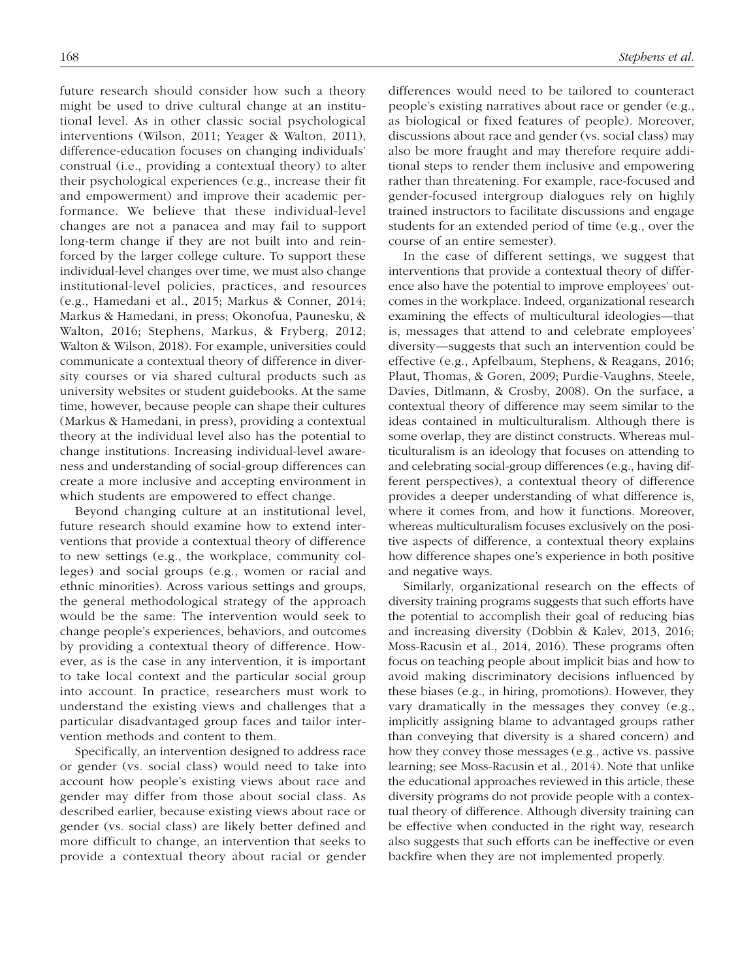future research should consider how such a theory might be used to drive cultural change at an institutional level. As in other classic social psychological interventions (Wilson, 2011; Yeager & Walton, 2011), difference-education focuses on changing individuals' construal (i.e., providing a contextual theory) to alter their psychological experiences (e.g., increase their fit and empowerment) and improve their academic performance. We believe that these individual-level changes are not a panacea and may fail to support long-term change if they are not built into and reinforced by the larger college culture. To support these individual-level changes over time, we must also change institutional-level policies, practices, and resources (e.g., Hamedani et al., 2015; Markus & Conner, 2014; Markus & Hamedani, in press; Okonofua, Paunesku, & Walton, 2016; Stephens, Markus, & Fryberg, 2012; Walton & Wilson, 2018). For example, universities could communicate a contextual theory of difference in diversity courses or via shared cultural products such as university websites or student guidebooks. At the same time, however, because people can shape their cultures (Markus & Hamedani, in press), providing a contextual theory at the individual level also has the potential to change institutions. Increasing individual-level awareness and understanding of social-group differences can create a more inclusive and accepting environment in which students are empowered to effect change.

Beyond changing culture at an institutional level, future research should examine how to extend interventions that provide a contextual theory of difference to new settings (e.g., the workplace, community colleges) and social groups (e.g., women or racial and ethnic minorities). Across various settings and groups, the general methodological strategy of the approach would be the same: The intervention would seek to change people's experiences, behaviors, and outcomes by providing a contextual theory of difference. However, as is the case in any intervention, it is important to take local context and the particular social group into account. In practice, researchers must work to understand the existing views and challenges that a particular disadvantaged group faces and tailor intervention methods and content to them.

Specifically, an intervention designed to address race or gender (vs. social class) would need to take into account how people's existing views about race and gender may differ from those about social class. As described earlier, because existing views about race or gender (vs. social class) are likely better defined and more difficult to change, an intervention that seeks to provide a contextual theory about racial or gender differences would need to be tailored to counteract people's existing narratives about race or gender (e.g., as biological or fixed features of people). Moreover, discussions about race and gender (vs. social class) may also be more fraught and may therefore require additional steps to render them inclusive and empowering rather than threatening. For example, race-focused and gender-focused intergroup dialogues rely on highly trained instructors to facilitate discussions and engage students for an extended period of time (e.g., over the course of an entire semester).

In the case of different settings, we suggest that interventions that provide a contextual theory of difference also have the potential to improve employees' outcomes in the workplace. Indeed, organizational research examining the effects of multicultural ideologies—that is, messages that attend to and celebrate employees' diversity—suggests that such an intervention could be effective (e.g., Apfelbaum, Stephens, & Reagans, 2016; Plaut, Thomas, & Goren, 2009; Purdie-Vaughns, Steele, Davies, Ditlmann, & Crosby, 2008). On the surface, a contextual theory of difference may seem similar to the ideas contained in multiculturalism. Although there is some overlap, they are distinct constructs. Whereas multiculturalism is an ideology that focuses on attending to and celebrating social-group differences (e.g., having different perspectives), a contextual theory of difference provides a deeper understanding of what difference is, where it comes from, and how it functions. Moreover, whereas multiculturalism focuses exclusively on the positive aspects of difference, a contextual theory explains how difference shapes one's experience in both positive and negative ways.

Similarly, organizational research on the effects of diversity training programs suggests that such efforts have the potential to accomplish their goal of reducing bias and increasing diversity (Dobbin & Kalev, 2013, 2016; Moss-Racusin et al., 2014, 2016). These programs often focus on teaching people about implicit bias and how to avoid making discriminatory decisions influenced by these biases (e.g., in hiring, promotions). However, they vary dramatically in the messages they convey (e.g., implicitly assigning blame to advantaged groups rather than conveying that diversity is a shared concern) and how they convey those messages (e.g., active vs. passive learning; see Moss-Racusin et al., 2014). Note that unlike the educational approaches reviewed in this article, these diversity programs do not provide people with a contextual theory of difference. Although diversity training can be effective when conducted in the right way, research also suggests that such efforts can be ineffective or even backfire when they are not implemented properly.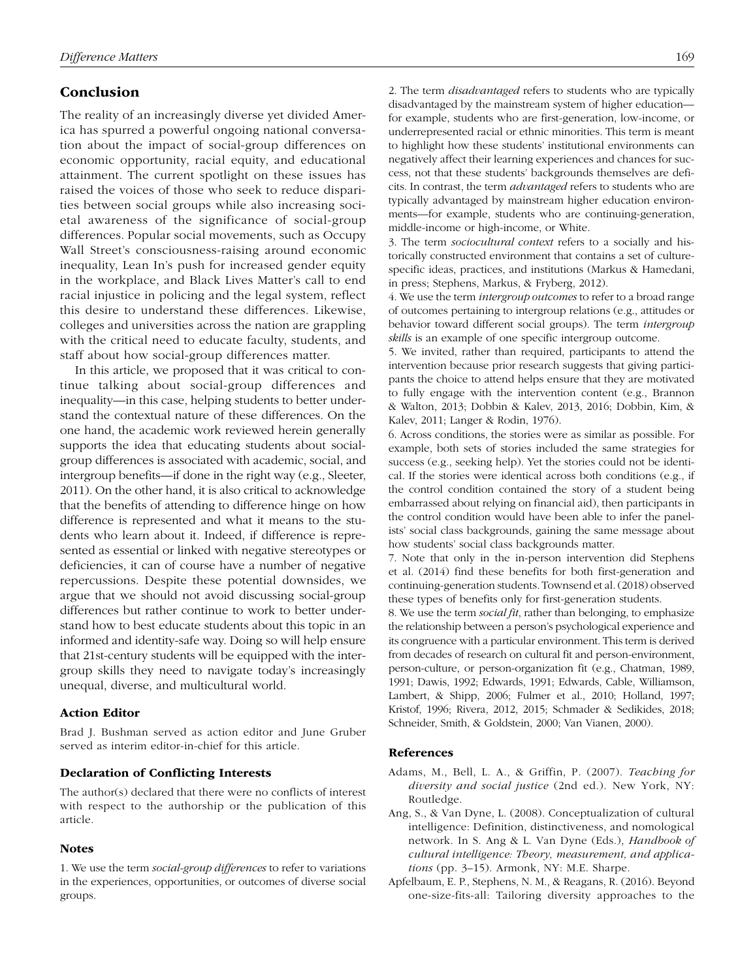## Conclusion

The reality of an increasingly diverse yet divided America has spurred a powerful ongoing national conversation about the impact of social-group differences on economic opportunity, racial equity, and educational attainment. The current spotlight on these issues has raised the voices of those who seek to reduce disparities between social groups while also increasing societal awareness of the significance of social-group differences. Popular social movements, such as Occupy Wall Street's consciousness-raising around economic inequality, Lean In's push for increased gender equity in the workplace, and Black Lives Matter's call to end racial injustice in policing and the legal system, reflect this desire to understand these differences. Likewise, colleges and universities across the nation are grappling with the critical need to educate faculty, students, and staff about how social-group differences matter.

In this article, we proposed that it was critical to continue talking about social-group differences and inequality—in this case, helping students to better understand the contextual nature of these differences. On the one hand, the academic work reviewed herein generally supports the idea that educating students about socialgroup differences is associated with academic, social, and intergroup benefits—if done in the right way (e.g., Sleeter, 2011). On the other hand, it is also critical to acknowledge that the benefits of attending to difference hinge on how difference is represented and what it means to the students who learn about it. Indeed, if difference is represented as essential or linked with negative stereotypes or deficiencies, it can of course have a number of negative repercussions. Despite these potential downsides, we argue that we should not avoid discussing social-group differences but rather continue to work to better understand how to best educate students about this topic in an informed and identity-safe way. Doing so will help ensure that 21st-century students will be equipped with the intergroup skills they need to navigate today's increasingly unequal, diverse, and multicultural world.

#### Action Editor

Brad J. Bushman served as action editor and June Gruber served as interim editor-in-chief for this article.

#### Declaration of Conflicting Interests

The author(s) declared that there were no conflicts of interest with respect to the authorship or the publication of this article.

#### Notes

1. We use the term *social-group differences* to refer to variations in the experiences, opportunities, or outcomes of diverse social groups.

2. The term *disadvantaged* refers to students who are typically disadvantaged by the mainstream system of higher education for example, students who are first-generation, low-income, or underrepresented racial or ethnic minorities. This term is meant to highlight how these students' institutional environments can negatively affect their learning experiences and chances for success, not that these students' backgrounds themselves are deficits. In contrast, the term *advantaged* refers to students who are typically advantaged by mainstream higher education environments—for example, students who are continuing-generation, middle-income or high-income, or White.

3. The term *sociocultural context* refers to a socially and historically constructed environment that contains a set of culturespecific ideas, practices, and institutions (Markus & Hamedani, in press; Stephens, Markus, & Fryberg, 2012).

4. We use the term *intergroup outcomes* to refer to a broad range of outcomes pertaining to intergroup relations (e.g., attitudes or behavior toward different social groups). The term *intergroup skills* is an example of one specific intergroup outcome.

5. We invited, rather than required, participants to attend the intervention because prior research suggests that giving participants the choice to attend helps ensure that they are motivated to fully engage with the intervention content (e.g., Brannon & Walton, 2013; Dobbin & Kalev, 2013, 2016; Dobbin, Kim, & Kalev, 2011; Langer & Rodin, 1976).

6. Across conditions, the stories were as similar as possible. For example, both sets of stories included the same strategies for success (e.g., seeking help). Yet the stories could not be identical. If the stories were identical across both conditions (e.g., if the control condition contained the story of a student being embarrassed about relying on financial aid), then participants in the control condition would have been able to infer the panelists' social class backgrounds, gaining the same message about how students' social class backgrounds matter.

7. Note that only in the in-person intervention did Stephens et al. (2014) find these benefits for both first-generation and continuing-generation students. Townsend et al. (2018) observed these types of benefits only for first-generation students.

8. We use the term *social fit*, rather than belonging, to emphasize the relationship between a person's psychological experience and its congruence with a particular environment. This term is derived from decades of research on cultural fit and person-environment, person-culture, or person-organization fit (e.g., Chatman, 1989, 1991; Dawis, 1992; Edwards, 1991; Edwards, Cable, Williamson, Lambert, & Shipp, 2006; Fulmer et al., 2010; Holland, 1997; Kristof, 1996; Rivera, 2012, 2015; Schmader & Sedikides, 2018; Schneider, Smith, & Goldstein, 2000; Van Vianen, 2000).

#### References

- Adams, M., Bell, L. A., & Griffin, P. (2007). *Teaching for diversity and social justice* (2nd ed.). New York, NY: Routledge.
- Ang, S., & Van Dyne, L. (2008). Conceptualization of cultural intelligence: Definition, distinctiveness, and nomological network. In S. Ang & L. Van Dyne (Eds.), *Handbook of cultural intelligence: Theory, measurement, and applications* (pp. 3–15). Armonk, NY: M.E. Sharpe.
- Apfelbaum, E. P., Stephens, N. M., & Reagans, R. (2016). Beyond one-size-fits-all: Tailoring diversity approaches to the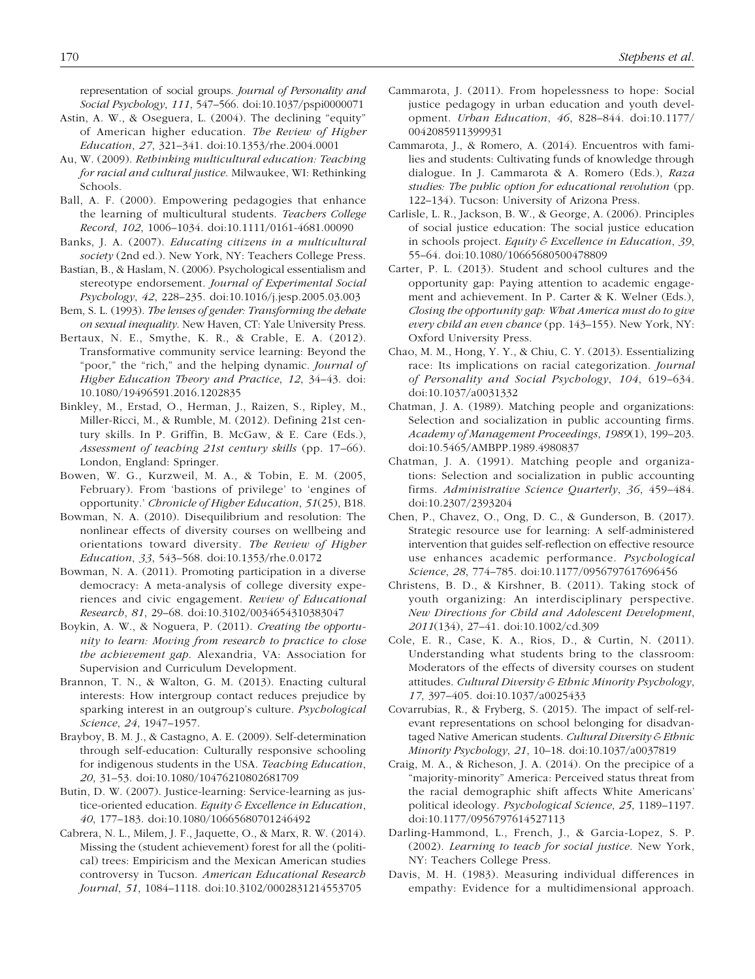representation of social groups. *Journal of Personality and Social Psychology*, *111*, 547–566. doi:10.1037/pspi0000071

- Astin, A. W., & Oseguera, L. (2004). The declining "equity" of American higher education. *The Review of Higher Education*, *27*, 321–341. doi:10.1353/rhe.2004.0001
- Au, W. (2009). *Rethinking multicultural education: Teaching for racial and cultural justice*. Milwaukee, WI: Rethinking Schools.
- Ball, A. F. (2000). Empowering pedagogies that enhance the learning of multicultural students. *Teachers College Record*, *102*, 1006–1034. doi:10.1111/0161-4681.00090
- Banks, J. A. (2007). *Educating citizens in a multicultural society* (2nd ed.). New York, NY: Teachers College Press.
- Bastian, B., & Haslam, N. (2006). Psychological essentialism and stereotype endorsement. *Journal of Experimental Social Psychology*, *42*, 228–235. doi:10.1016/j.jesp.2005.03.003
- Bem, S. L. (1993). *The lenses of gender: Transforming the debate on sexual inequality*. New Haven, CT: Yale University Press.
- Bertaux, N. E., Smythe, K. R., & Crable, E. A. (2012). Transformative community service learning: Beyond the "poor," the "rich," and the helping dynamic. *Journal of Higher Education Theory and Practice*, *12*, 34–43. doi: 10.1080/19496591.2016.1202835
- Binkley, M., Erstad, O., Herman, J., Raizen, S., Ripley, M., Miller-Ricci, M., & Rumble, M. (2012). Defining 21st century skills. In P. Griffin, B. McGaw, & E. Care (Eds.), *Assessment of teaching 21st century skills* (pp. 17–66). London, England: Springer.
- Bowen, W. G., Kurzweil, M. A., & Tobin, E. M. (2005, February). From 'bastions of privilege' to 'engines of opportunity.' *Chronicle of Higher Education*, *51*(25), B18.
- Bowman, N. A. (2010). Disequilibrium and resolution: The nonlinear effects of diversity courses on wellbeing and orientations toward diversity. *The Review of Higher Education*, *33*, 543–568. doi:10.1353/rhe.0.0172
- Bowman, N. A. (2011). Promoting participation in a diverse democracy: A meta-analysis of college diversity experiences and civic engagement. *Review of Educational Research*, *81*, 29–68. doi:10.3102/0034654310383047
- Boykin, A. W., & Noguera, P. (2011). *Creating the opportunity to learn: Moving from research to practice to close the achievement gap*. Alexandria, VA: Association for Supervision and Curriculum Development.
- Brannon, T. N., & Walton, G. M. (2013). Enacting cultural interests: How intergroup contact reduces prejudice by sparking interest in an outgroup's culture. *Psychological Science*, *24*, 1947–1957.
- Brayboy, B. M. J., & Castagno, A. E. (2009). Self-determination through self-education: Culturally responsive schooling for indigenous students in the USA. *Teaching Education*, *20*, 31–53. doi:10.1080/10476210802681709
- Butin, D. W. (2007). Justice-learning: Service-learning as justice-oriented education. *Equity & Excellence in Education*, *40*, 177–183. doi:10.1080/10665680701246492
- Cabrera, N. L., Milem, J. F., Jaquette, O., & Marx, R. W. (2014). Missing the (student achievement) forest for all the (political) trees: Empiricism and the Mexican American studies controversy in Tucson. *American Educational Research Journal*, *51*, 1084–1118. doi:10.3102/0002831214553705
- Cammarota, J. (2011). From hopelessness to hope: Social justice pedagogy in urban education and youth development. *Urban Education*, *46*, 828–844. doi:10.1177/ 0042085911399931
- Cammarota, J., & Romero, A. (2014). Encuentros with families and students: Cultivating funds of knowledge through dialogue. In J. Cammarota & A. Romero (Eds.), *Raza studies: The public option for educational revolution* (pp. 122–134). Tucson: University of Arizona Press.
- Carlisle, L. R., Jackson, B. W., & George, A. (2006). Principles of social justice education: The social justice education in schools project. *Equity & Excellence in Education*, *39*, 55–64. doi:10.1080/10665680500478809
- Carter, P. L. (2013). Student and school cultures and the opportunity gap: Paying attention to academic engagement and achievement. In P. Carter & K. Welner (Eds.), *Closing the opportunity gap: What America must do to give every child an even chance* (pp. 143–155). New York, NY: Oxford University Press.
- Chao, M. M., Hong, Y. Y., & Chiu, C. Y. (2013). Essentializing race: Its implications on racial categorization. *Journal of Personality and Social Psychology*, *104*, 619–634. doi:10.1037/a0031332
- Chatman, J. A. (1989). Matching people and organizations: Selection and socialization in public accounting firms. *Academy of Management Proceedings*, *1989*(1), 199–203. doi:10.5465/AMBPP.1989.4980837
- Chatman, J. A. (1991). Matching people and organizations: Selection and socialization in public accounting firms. *Administrative Science Quarterly*, *36*, 459–484. doi:10.2307/2393204
- Chen, P., Chavez, O., Ong, D. C., & Gunderson, B. (2017). Strategic resource use for learning: A self-administered intervention that guides self-reflection on effective resource use enhances academic performance. *Psychological Science*, *28*, 774–785. doi:10.1177/0956797617696456
- Christens, B. D., & Kirshner, B. (2011). Taking stock of youth organizing: An interdisciplinary perspective. *New Directions for Child and Adolescent Development*, *2011*(134), 27–41. doi:10.1002/cd.309
- Cole, E. R., Case, K. A., Rios, D., & Curtin, N. (2011). Understanding what students bring to the classroom: Moderators of the effects of diversity courses on student attitudes. *Cultural Diversity & Ethnic Minority Psychology*, *17*, 397–405. doi:10.1037/a0025433
- Covarrubias, R., & Fryberg, S. (2015). The impact of self-relevant representations on school belonging for disadvantaged Native American students. *Cultural Diversity & Ethnic Minority Psychology*, *21*, 10–18. doi:10.1037/a0037819
- Craig, M. A., & Richeson, J. A. (2014). On the precipice of a "majority-minority" America: Perceived status threat from the racial demographic shift affects White Americans' political ideology. *Psychological Science*, *25*, 1189–1197. doi:10.1177/0956797614527113
- Darling-Hammond, L., French, J., & Garcia-Lopez, S. P. (2002). *Learning to teach for social justice*. New York, NY: Teachers College Press.
- Davis, M. H. (1983). Measuring individual differences in empathy: Evidence for a multidimensional approach.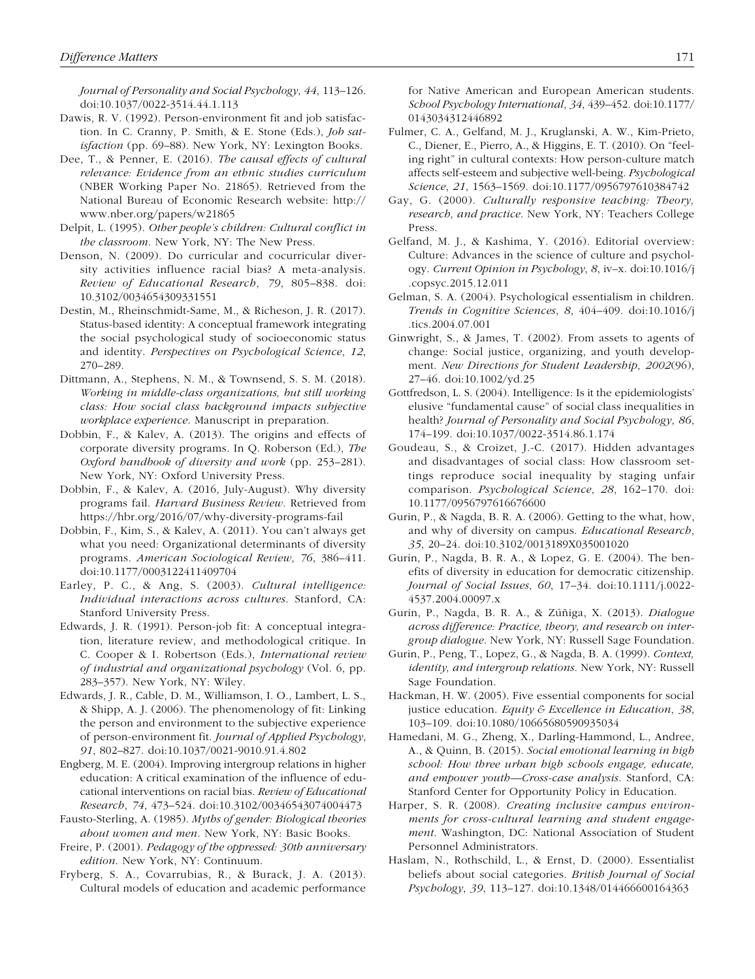*Journal of Personality and Social Psychology*, *44*, 113–126. doi:10.1037/0022-3514.44.1.113

- Dawis, R. V. (1992). Person-environment fit and job satisfaction. In C. Cranny, P. Smith, & E. Stone (Eds.), *Job satisfaction* (pp. 69–88). New York, NY: Lexington Books.
- Dee, T., & Penner, E. (2016). *The causal effects of cultural relevance: Evidence from an ethnic studies curriculum* (NBER Working Paper No. 21865). Retrieved from the National Bureau of Economic Research website: [http://](http://www.nber.org/papers/w21865) [www.nber.org/papers/w21865](http://www.nber.org/papers/w21865)
- Delpit, L. (1995). *Other people's children: Cultural conflict in the classroom*. New York, NY: The New Press.
- Denson, N. (2009). Do curricular and cocurricular diversity activities influence racial bias? A meta-analysis. *Review of Educational Research*, *79*, 805–838. doi: 10.3102/0034654309331551
- Destin, M., Rheinschmidt-Same, M., & Richeson, J. R. (2017). Status-based identity: A conceptual framework integrating the social psychological study of socioeconomic status and identity. *Perspectives on Psychological Science*, *12*, 270–289.
- Dittmann, A., Stephens, N. M., & Townsend, S. S. M. (2018). *Working in middle-class organizations, but still working class: How social class background impacts subjective workplace experience*. Manuscript in preparation.
- Dobbin, F., & Kalev, A. (2013). The origins and effects of corporate diversity programs. In Q. Roberson (Ed.), *The Oxford handbook of diversity and work* (pp. 253–281). New York, NY: Oxford University Press.
- Dobbin, F., & Kalev, A. (2016, July-August). Why diversity programs fail. *Harvard Business Review*. Retrieved from <https://hbr.org/2016/07/why-diversity-programs-fail>
- Dobbin, F., Kim, S., & Kalev, A. (2011). You can't always get what you need: Organizational determinants of diversity programs. *American Sociological Review*, *76*, 386–411. doi:10.1177/0003122411409704
- Earley, P. C., & Ang, S. (2003). *Cultural intelligence: Individual interactions across cultures*. Stanford, CA: Stanford University Press.
- Edwards, J. R. (1991). Person-job fit: A conceptual integration, literature review, and methodological critique. In C. Cooper & I. Robertson (Eds.), *International review of industrial and organizational psychology* (Vol. 6, pp. 283–357). New York, NY: Wiley.
- Edwards, J. R., Cable, D. M., Williamson, I. O., Lambert, L. S., & Shipp, A. J. (2006). The phenomenology of fit: Linking the person and environment to the subjective experience of person-environment fit. *Journal of Applied Psychology*, *91*, 802–827. doi:10.1037/0021-9010.91.4.802
- Engberg, M. E. (2004). Improving intergroup relations in higher education: A critical examination of the influence of educational interventions on racial bias. *Review of Educational Research*, *74*, 473–524. doi:10.3102/00346543074004473
- Fausto-Sterling, A. (1985). *Myths of gender: Biological theories about women and men*. New York, NY: Basic Books.
- Freire, P. (2001). *Pedagogy of the oppressed: 30th anniversary edition*. New York, NY: Continuum.
- Fryberg, S. A., Covarrubias, R., & Burack, J. A. (2013). Cultural models of education and academic performance

for Native American and European American students. *School Psychology International*, *34*, 439–452. doi:10.1177/ 0143034312446892

- Fulmer, C. A., Gelfand, M. J., Kruglanski, A. W., Kim-Prieto, C., Diener, E., Pierro, A., & Higgins, E. T. (2010). On "feeling right" in cultural contexts: How person-culture match affects self-esteem and subjective well-being. *Psychological Science*, *21*, 1563–1569. doi:10.1177/0956797610384742
- Gay, G. (2000). *Culturally responsive teaching: Theory, research, and practice*. New York, NY: Teachers College Press.
- Gelfand, M. J., & Kashima, Y. (2016). Editorial overview: Culture: Advances in the science of culture and psychology. *Current Opinion in Psychology*, *8*, iv–x. doi:10.1016/j .copsyc.2015.12.011
- Gelman, S. A. (2004). Psychological essentialism in children. *Trends in Cognitive Sciences*, *8*, 404–409. doi:10.1016/j .tics.2004.07.001
- Ginwright, S., & James, T. (2002). From assets to agents of change: Social justice, organizing, and youth development. *New Directions for Student Leadership*, *2002*(96), 27–46. doi:10.1002/yd.25
- Gottfredson, L. S. (2004). Intelligence: Is it the epidemiologists' elusive "fundamental cause" of social class inequalities in health? *Journal of Personality and Social Psychology*, *86*, 174–199. doi:10.1037/0022-3514.86.1.174
- Goudeau, S., & Croizet, J.-C. (2017). Hidden advantages and disadvantages of social class: How classroom settings reproduce social inequality by staging unfair comparison. *Psychological Science*, *28*, 162–170. doi: 10.1177/0956797616676600
- Gurin, P., & Nagda, B. R. A. (2006). Getting to the what, how, and why of diversity on campus. *Educational Research*, *35*, 20–24. doi:10.3102/0013189X035001020
- Gurin, P., Nagda, B. R. A., & Lopez, G. E. (2004). The benefits of diversity in education for democratic citizenship. *Journal of Social Issues*, *60*, 17–34. doi:10.1111/j.0022- 4537.2004.00097.x
- Gurin, P., Nagda, B. R. A., & Zúñiga, X. (2013). *Dialogue across difference: Practice, theory, and research on intergroup dialogue*. New York, NY: Russell Sage Foundation.
- Gurin, P., Peng, T., Lopez, G., & Nagda, B. A. (1999). *Context, identity, and intergroup relations*. New York, NY: Russell Sage Foundation.
- Hackman, H. W. (2005). Five essential components for social justice education. *Equity & Excellence in Education*, *38*, 103–109. doi:10.1080/10665680590935034
- Hamedani, M. G., Zheng, X., Darling-Hammond, L., Andree, A., & Quinn, B. (2015). *Social emotional learning in high school: How three urban high schools engage, educate, and empower youth—Cross-case analysis*. Stanford, CA: Stanford Center for Opportunity Policy in Education.
- Harper, S. R. (2008). *Creating inclusive campus environments for cross-cultural learning and student engagement*. Washington, DC: National Association of Student Personnel Administrators.
- Haslam, N., Rothschild, L., & Ernst, D. (2000). Essentialist beliefs about social categories. *British Journal of Social Psychology*, *39*, 113–127. doi:10.1348/014466600164363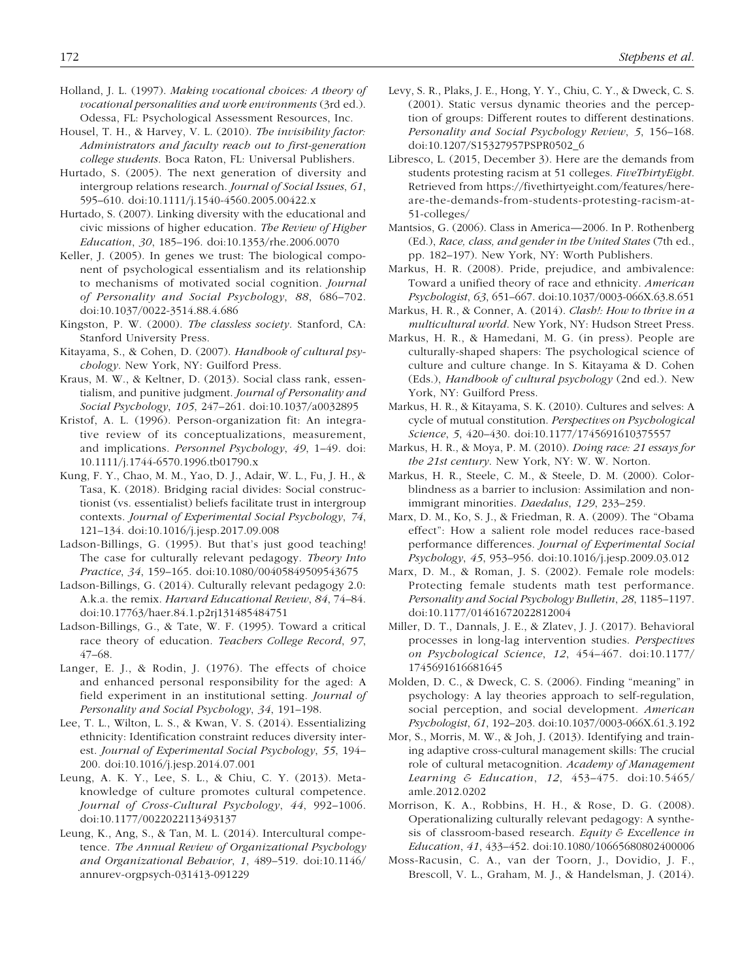- Holland, J. L. (1997). *Making vocational choices: A theory of vocational personalities and work environments* (3rd ed.). Odessa, FL: Psychological Assessment Resources, Inc.
- Housel, T. H., & Harvey, V. L. (2010). *The invisibility factor: Administrators and faculty reach out to first-generation college students*. Boca Raton, FL: Universal Publishers.
- Hurtado, S. (2005). The next generation of diversity and intergroup relations research. *Journal of Social Issues*, *61*, 595–610. doi:10.1111/j.1540-4560.2005.00422.x
- Hurtado, S. (2007). Linking diversity with the educational and civic missions of higher education. *The Review of Higher Education*, *30*, 185–196. doi:10.1353/rhe.2006.0070
- Keller, J. (2005). In genes we trust: The biological component of psychological essentialism and its relationship to mechanisms of motivated social cognition. *Journal of Personality and Social Psychology*, *88*, 686–702. doi:10.1037/0022-3514.88.4.686
- Kingston, P. W. (2000). *The classless society*. Stanford, CA: Stanford University Press.
- Kitayama, S., & Cohen, D. (2007). *Handbook of cultural psychology*. New York, NY: Guilford Press.
- Kraus, M. W., & Keltner, D. (2013). Social class rank, essentialism, and punitive judgment. *Journal of Personality and Social Psychology*, *105*, 247–261. doi:10.1037/a0032895
- Kristof, A. L. (1996). Person-organization fit: An integrative review of its conceptualizations, measurement, and implications. *Personnel Psychology*, *49*, 1–49. doi: 10.1111/j.1744-6570.1996.tb01790.x
- Kung, F. Y., Chao, M. M., Yao, D. J., Adair, W. L., Fu, J. H., & Tasa, K. (2018). Bridging racial divides: Social constructionist (vs. essentialist) beliefs facilitate trust in intergroup contexts. *Journal of Experimental Social Psychology*, *74*, 121–134. doi:10.1016/j.jesp.2017.09.008
- Ladson-Billings, G. (1995). But that's just good teaching! The case for culturally relevant pedagogy. *Theory Into Practice*, *34*, 159–165. doi:10.1080/00405849509543675
- Ladson-Billings, G. (2014). Culturally relevant pedagogy 2.0: A.k.a. the remix. *Harvard Educational Review*, *84*, 74–84. doi:10.17763/haer.84.1.p2rj131485484751
- Ladson-Billings, G., & Tate, W. F. (1995). Toward a critical race theory of education. *Teachers College Record*, *97*, 47–68.
- Langer, E. J., & Rodin, J. (1976). The effects of choice and enhanced personal responsibility for the aged: A field experiment in an institutional setting. *Journal of Personality and Social Psychology*, *34*, 191–198.
- Lee, T. L., Wilton, L. S., & Kwan, V. S. (2014). Essentializing ethnicity: Identification constraint reduces diversity interest. *Journal of Experimental Social Psychology*, *55*, 194– 200. doi:10.1016/j.jesp.2014.07.001
- Leung, A. K. Y., Lee, S. L., & Chiu, C. Y. (2013). Metaknowledge of culture promotes cultural competence. *Journal of Cross-Cultural Psychology*, *44*, 992–1006. doi:10.1177/0022022113493137
- Leung, K., Ang, S., & Tan, M. L. (2014). Intercultural competence. *The Annual Review of Organizational Psychology and Organizational Behavior*, *1*, 489–519. doi:10.1146/ annurev-orgpsych-031413-091229
- Levy, S. R., Plaks, J. E., Hong, Y. Y., Chiu, C. Y., & Dweck, C. S. (2001). Static versus dynamic theories and the perception of groups: Different routes to different destinations. *Personality and Social Psychology Review*, *5*, 156–168. doi:10.1207/S15327957PSPR0502\_6
- Libresco, L. (2015, December 3). Here are the demands from students protesting racism at 51 colleges. *FiveThirtyEight*. Retrieved from [https://fivethirtyeight.com/features/here](https://fivethirtyeight.com/features/here-are-the-demands-from-students-protesting-racism-at-51-colleges/)[are-the-demands-from-students-protesting-racism-at-](https://fivethirtyeight.com/features/here-are-the-demands-from-students-protesting-racism-at-51-colleges/)[51-colleges/](https://fivethirtyeight.com/features/here-are-the-demands-from-students-protesting-racism-at-51-colleges/)
- Mantsios, G. (2006). Class in America—2006. In P. Rothenberg (Ed.), *Race, class, and gender in the United States* (7th ed., pp. 182–197). New York, NY: Worth Publishers.
- Markus, H. R. (2008). Pride, prejudice, and ambivalence: Toward a unified theory of race and ethnicity. *American Psychologist*, *63*, 651–667. doi:10.1037/0003-066X.63.8.651
- Markus, H. R., & Conner, A. (2014). *Clash!: How to thrive in a multicultural world*. New York, NY: Hudson Street Press.
- Markus, H. R., & Hamedani, M. G. (in press). People are culturally-shaped shapers: The psychological science of culture and culture change. In S. Kitayama & D. Cohen (Eds.), *Handbook of cultural psychology* (2nd ed.). New York, NY: Guilford Press.
- Markus, H. R., & Kitayama, S. K. (2010). Cultures and selves: A cycle of mutual constitution. *Perspectives on Psychological Science*, *5*, 420–430. doi:10.1177/1745691610375557
- Markus, H. R., & Moya, P. M. (2010). *Doing race: 21 essays for the 21st century*. New York, NY: W. W. Norton.
- Markus, H. R., Steele, C. M., & Steele, D. M. (2000). Colorblindness as a barrier to inclusion: Assimilation and nonimmigrant minorities. *Daedalus*, *129*, 233–259.
- Marx, D. M., Ko, S. J., & Friedman, R. A. (2009). The "Obama effect": How a salient role model reduces race-based performance differences. *Journal of Experimental Social Psychology*, *45*, 953–956. doi:10.1016/j.jesp.2009.03.012
- Marx, D. M., & Roman, J. S. (2002). Female role models: Protecting female students math test performance. *Personality and Social Psychology Bulletin*, *28*, 1185–1197. doi:10.1177/01461672022812004
- Miller, D. T., Dannals, J. E., & Zlatev, J. J. (2017). Behavioral processes in long-lag intervention studies. *Perspectives on Psychological Science*, *12*, 454–467. doi:10.1177/ 1745691616681645
- Molden, D. C., & Dweck, C. S. (2006). Finding "meaning" in psychology: A lay theories approach to self-regulation, social perception, and social development. *American Psychologist*, *61*, 192–203. doi:10.1037/0003-066X.61.3.192
- Mor, S., Morris, M. W., & Joh, J. (2013). Identifying and training adaptive cross-cultural management skills: The crucial role of cultural metacognition. *Academy of Management Learning & Education*, *12*, 453–475. doi:10.5465/ amle.2012.0202
- Morrison, K. A., Robbins, H. H., & Rose, D. G. (2008). Operationalizing culturally relevant pedagogy: A synthesis of classroom-based research. *Equity & Excellence in Education*, *41*, 433–452. doi:10.1080/10665680802400006
- Moss-Racusin, C. A., van der Toorn, J., Dovidio, J. F., Brescoll, V. L., Graham, M. J., & Handelsman, J. (2014).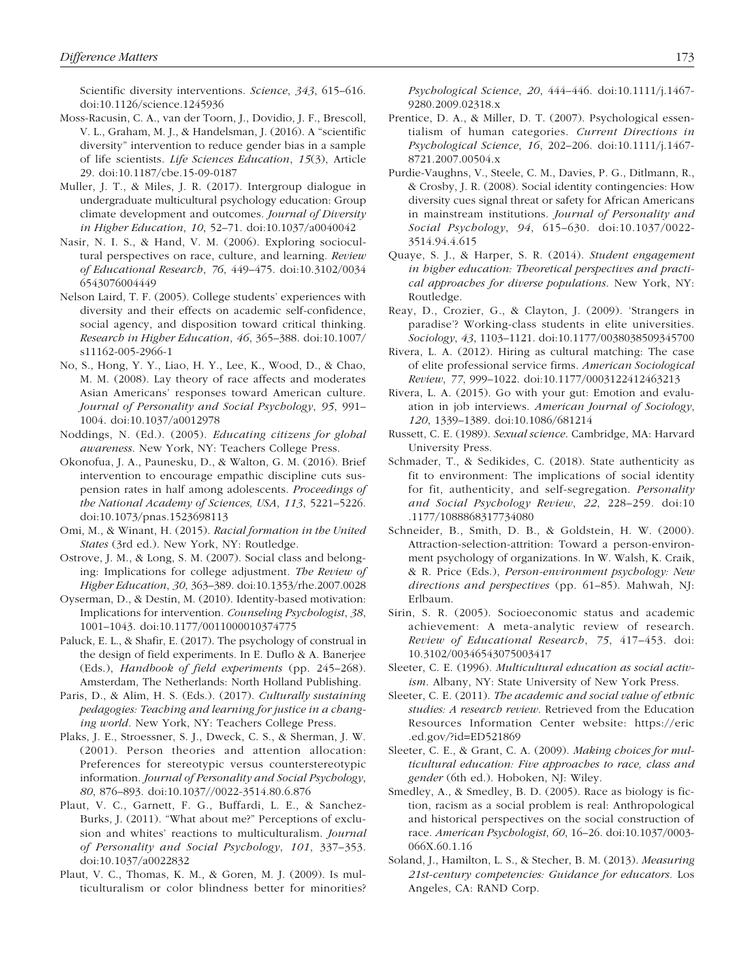Scientific diversity interventions. *Science*, *343*, 615–616. doi:10.1126/science.1245936

- Moss-Racusin, C. A., van der Toorn, J., Dovidio, J. F., Brescoll, V. L., Graham, M. J., & Handelsman, J. (2016). A "scientific diversity" intervention to reduce gender bias in a sample of life scientists. *Life Sciences Education*, *15*(3), Article 29. doi:10.1187/cbe.15-09-0187
- Muller, J. T., & Miles, J. R. (2017). Intergroup dialogue in undergraduate multicultural psychology education: Group climate development and outcomes. *Journal of Diversity in Higher Education*, *10*, 52–71. doi:10.1037/a0040042
- Nasir, N. I. S., & Hand, V. M. (2006). Exploring sociocultural perspectives on race, culture, and learning. *Review of Educational Research*, *76*, 449–475. doi:10.3102/0034 6543076004449
- Nelson Laird, T. F. (2005). College students' experiences with diversity and their effects on academic self-confidence, social agency, and disposition toward critical thinking. *Research in Higher Education*, *46*, 365–388. doi:10.1007/ s11162-005-2966-1
- No, S., Hong, Y. Y., Liao, H. Y., Lee, K., Wood, D., & Chao, M. M. (2008). Lay theory of race affects and moderates Asian Americans' responses toward American culture. *Journal of Personality and Social Psychology*, *95*, 991– 1004. doi:10.1037/a0012978
- Noddings, N. (Ed.). (2005). *Educating citizens for global awareness*. New York, NY: Teachers College Press.
- Okonofua, J. A., Paunesku, D., & Walton, G. M. (2016). Brief intervention to encourage empathic discipline cuts suspension rates in half among adolescents. *Proceedings of the National Academy of Sciences, USA*, *113*, 5221–5226. doi:10.1073/pnas.1523698113
- Omi, M., & Winant, H. (2015). *Racial formation in the United States* (3rd ed.). New York, NY: Routledge.
- Ostrove, J. M., & Long, S. M. (2007). Social class and belonging: Implications for college adjustment. *The Review of Higher Education*, *30*, 363–389. doi:10.1353/rhe.2007.0028
- Oyserman, D., & Destin, M. (2010). Identity-based motivation: Implications for intervention. *Counseling Psychologist*, *38*, 1001–1043. doi:10.1177/0011000010374775
- Paluck, E. L., & Shafir, E. (2017). The psychology of construal in the design of field experiments. In E. Duflo & A. Banerjee (Eds.), *Handbook of field experiments* (pp. 245–268). Amsterdam, The Netherlands: North Holland Publishing.
- Paris, D., & Alim, H. S. (Eds.). (2017). *Culturally sustaining pedagogies: Teaching and learning for justice in a changing world*. New York, NY: Teachers College Press.
- Plaks, J. E., Stroessner, S. J., Dweck, C. S., & Sherman, J. W. (2001). Person theories and attention allocation: Preferences for stereotypic versus counterstereotypic information. *Journal of Personality and Social Psychology*, *80*, 876–893. doi:10.1037//0022-3514.80.6.876
- Plaut, V. C., Garnett, F. G., Buffardi, L. E., & Sanchez-Burks, J. (2011). "What about me?" Perceptions of exclusion and whites' reactions to multiculturalism. *Journal of Personality and Social Psychology*, *101*, 337–353. doi:10.1037/a0022832
- Plaut, V. C., Thomas, K. M., & Goren, M. J. (2009). Is multiculturalism or color blindness better for minorities?

*Psychological Science*, *20*, 444–446. doi:10.1111/j.1467- 9280.2009.02318.x

- Prentice, D. A., & Miller, D. T. (2007). Psychological essentialism of human categories. *Current Directions in Psychological Science*, *16*, 202–206. doi:10.1111/j.1467- 8721.2007.00504.x
- Purdie-Vaughns, V., Steele, C. M., Davies, P. G., Ditlmann, R., & Crosby, J. R. (2008). Social identity contingencies: How diversity cues signal threat or safety for African Americans in mainstream institutions. *Journal of Personality and Social Psychology*, *94*, 615–630. doi:10.1037/0022- 3514.94.4.615
- Quaye, S. J., & Harper, S. R. (2014). *Student engagement in higher education: Theoretical perspectives and practical approaches for diverse populations*. New York, NY: Routledge.
- Reay, D., Crozier, G., & Clayton, J. (2009). 'Strangers in paradise'? Working-class students in elite universities. *Sociology*, *43*, 1103–1121. doi:10.1177/0038038509345700
- Rivera, L. A. (2012). Hiring as cultural matching: The case of elite professional service firms. *American Sociological Review*, *77*, 999–1022. doi:10.1177/0003122412463213
- Rivera, L. A. (2015). Go with your gut: Emotion and evaluation in job interviews. *American Journal of Sociology*, *120*, 1339–1389. doi:10.1086/681214
- Russett, C. E. (1989). *Sexual science*. Cambridge, MA: Harvard University Press.
- Schmader, T., & Sedikides, C. (2018). State authenticity as fit to environment: The implications of social identity for fit, authenticity, and self-segregation. *Personality and Social Psychology Review*, *22*, 228–259. doi:10 .1177/1088868317734080
- Schneider, B., Smith, D. B., & Goldstein, H. W. (2000). Attraction-selection-attrition: Toward a person-environment psychology of organizations. In W. Walsh, K. Craik, & R. Price (Eds.), *Person-environment psychology: New directions and perspectives* (pp. 61–85). Mahwah, NJ: Erlbaum.
- Sirin, S. R. (2005). Socioeconomic status and academic achievement: A meta-analytic review of research. *Review of Educational Research*, *75*, 417–453. doi: 10.3102/00346543075003417
- Sleeter, C. E. (1996). *Multicultural education as social activism*. Albany, NY: State University of New York Press.
- Sleeter, C. E. (2011). *The academic and social value of ethnic studies: A research review*. Retrieved from the Education Resources Information Center website: [https://eric](https://eric.ed.gov/?id=ED521869) [.ed.gov/?id=ED521869](https://eric.ed.gov/?id=ED521869)
- Sleeter, C. E., & Grant, C. A. (2009). *Making choices for multicultural education: Five approaches to race, class and gender* (6th ed.). Hoboken, NJ: Wiley.
- Smedley, A., & Smedley, B. D. (2005). Race as biology is fiction, racism as a social problem is real: Anthropological and historical perspectives on the social construction of race. *American Psychologist*, *60*, 16–26. doi:10.1037/0003- 066X.60.1.16
- Soland, J., Hamilton, L. S., & Stecher, B. M. (2013). *Measuring 21st-century competencies: Guidance for educators*. Los Angeles, CA: RAND Corp.